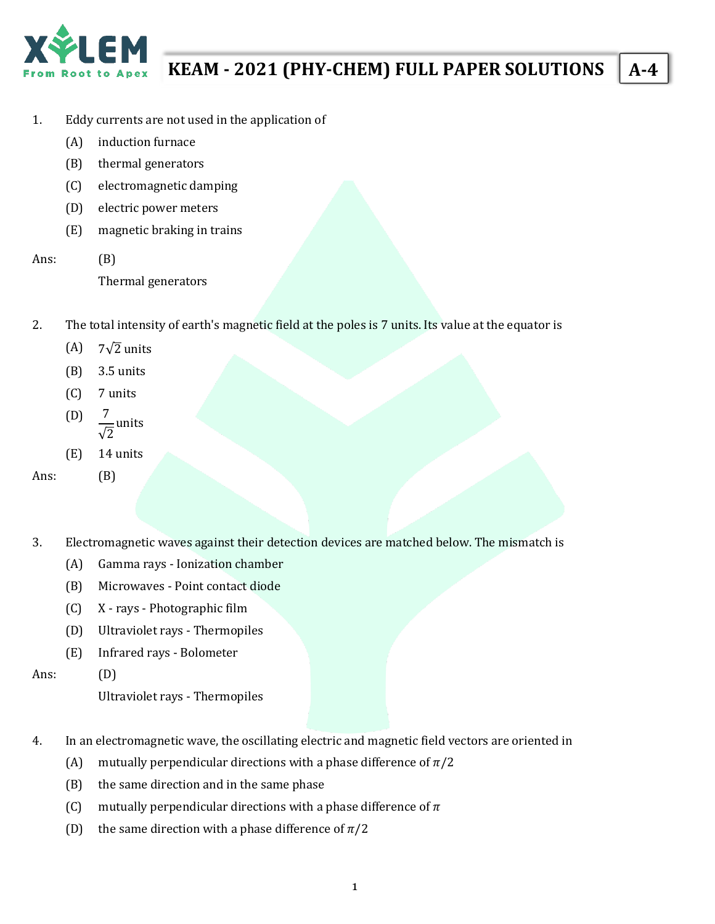

# **KEAM - 2021 (PHY-CHEM) FULL PAPER SOLUTIONS A-4**

- 1. Eddy currents are not used in the application of
	- (A) induction furnace
	- (B) thermal generators
	- (C) electromagnetic damping
	- (D) electric power meters
	- (E) magnetic braking in trains
- Ans: (B)

Thermal generators

- 2. The total intensity of earth's magnetic field at the poles is 7 units. Its value at the equator is
	- (A)  $7\sqrt{2}$  units
	- (B) 3.5 units
	- (C) 7 units
	- $(D)$ √2 units
	- (E) 14 units

Ans: (B)

- 3. Electromagnetic waves against their detection devices are matched below. The mismatch is
	- (A) Gamma rays Ionization chamber
	- (B) Microwaves Point contact diode
	- (C) X rays Photographic film
	- (D) Ultraviolet rays Thermopiles
	- (E) Infrared rays Bolometer

Ans: (D)

Ultraviolet rays - Thermopiles

- 4. In an electromagnetic wave, the oscillating electric and magnetic field vectors are oriented in
	- (A) mutually perpendicular directions with a phase difference of  $\pi/2$
	- (B) the same direction and in the same phase
	- (C) mutually perpendicular directions with a phase difference of  $\pi$
	- (D) the same direction with a phase difference of  $\pi/2$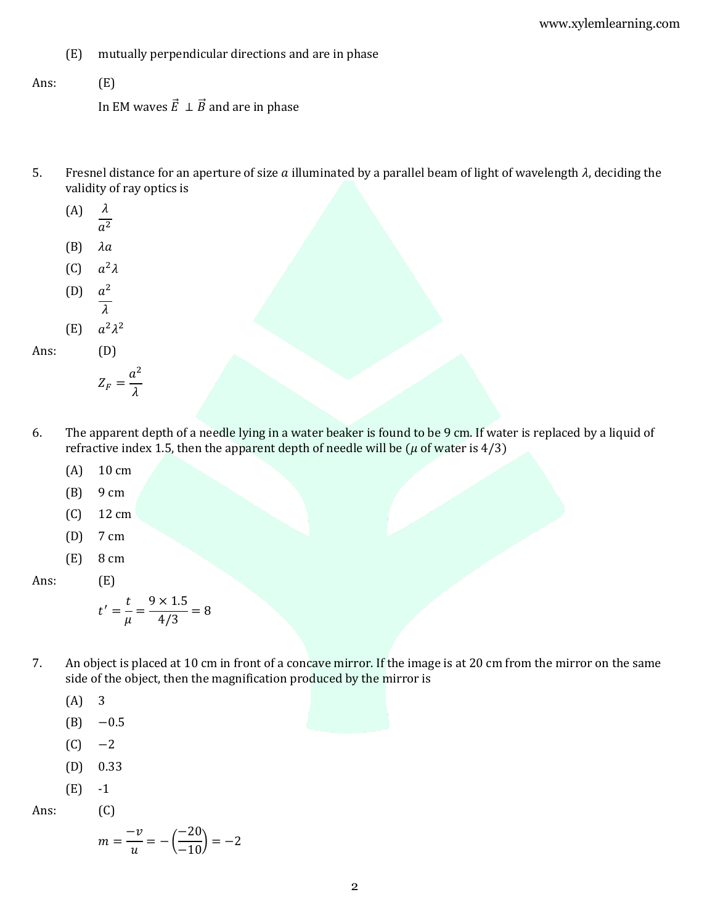- (E) mutually perpendicular directions and are in phase
- Ans: (E)

In EM waves  $\vec{E} \perp \vec{B}$  and are in phase

- 5. Fresnel distance for an aperture of size  $a$  illuminated by a parallel beam of light of wavelength  $\lambda$ , deciding the validity of ray optics is
	- $(A)$   $\lambda$
	- $a^2$
	- $(B)$   $\lambda a$
	- (C)  $a^2\lambda$
	- (D) 2
	- $\lambda$ (E)  $2\lambda^2$

Ans: (D)

- $Z_F =$  $a^2$  $\lambda$
- 6. The apparent depth of a needle lying in a water beaker is found to be 9 cm. If water is replaced by a liquid of refractive index 1.5, then the apparent depth of needle will be ( $\mu$  of water is 4/3)
	- (A) 10 cm
	- (B) 9 cm
	- (C) 12 cm
	- (D) 7 cm
	- (E) 8 cm

Ans: (E)

$$
t' = \frac{t}{\mu} = \frac{9 \times 1.5}{4/3} = 8
$$

- 7. An object is placed at 10 cm in front of a concave mirror. If the image is at 20 cm from the mirror on the same side of the object, then the magnification produced by the mirror is
	- (A) 3
	- $(B) -0.5$
	- $(C) -2$
	- (D) 0.33
	- (E) -1

Ans: (C)

$$
m = \frac{-v}{u} = -\left(\frac{-20}{-10}\right) = -2
$$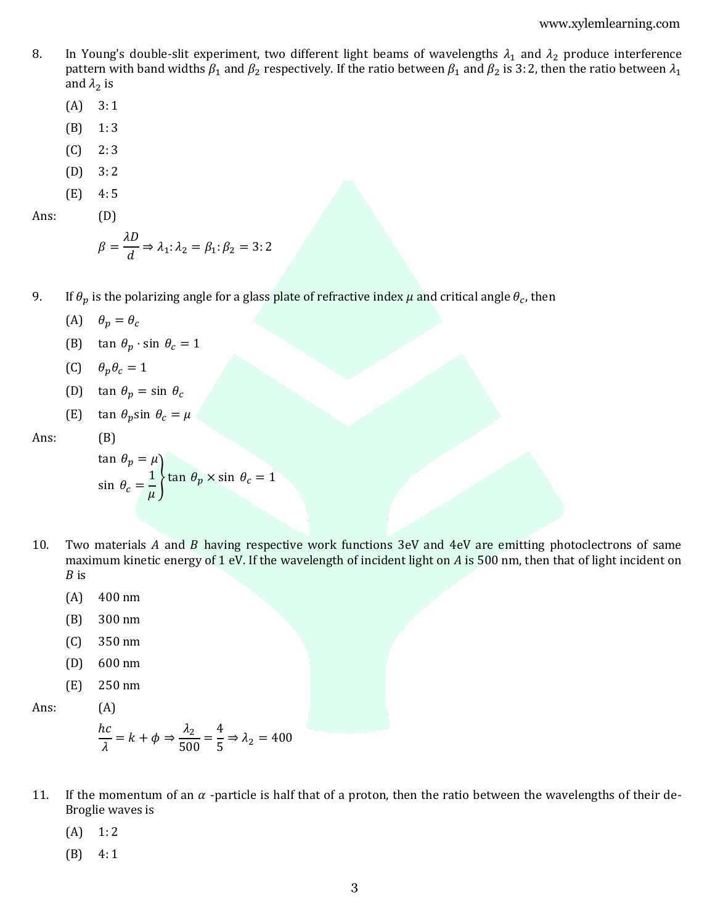- 8. In Young's double-slit experiment, two different light beams of wavelengths  $\lambda_1$  and  $\lambda_2$  produce interference pattern with band widths  $\beta_1$  and  $\beta_2$  respectively. If the ratio between  $\beta_1$  and  $\beta_2$  is 3: 2, then the ratio between  $\lambda_1$ and  $\lambda_2$  is
	- $(A)$  3:1
	- (B) 1: 3
	- $(C)$  2:3
	- $(D) 3:2$
	- (E) 4: 5
- Ans: (D)

$$
\beta = \frac{\lambda D}{d} \Rightarrow \lambda_1 : \lambda_2 = \beta_1 : \beta_2 = 3 : 2
$$

- 9. If  $\theta_p$  is the polarizing angle for a glass plate of refractive index  $\mu$  and critical angle  $\theta_c$ , then
	- (A)  $\theta_p = \theta_c$
	- (B) tan  $\theta_p \cdot \sin \theta_c = 1$
	- (C)  $\theta_p \theta_c = 1$
	- (D) tan  $\theta_p = \sin \theta_c$
	- (E) tan  $\theta_p$ sin  $\theta_c = \mu$

Ans: (B)

$$
\tan \theta_p = \mu
$$
\n
$$
\sin \theta_c = \frac{1}{\mu}
$$
\n
$$
\tan \theta_p \times \sin \theta_c = 1
$$

- 10. Two materials  $A$  and  $B$  having respective work functions 3eV and 4eV are emitting photoclectrons of same maximum kinetic energy of 1 eV. If the wavelength of incident light on  $A$  is 500 nm, then that of light incident on  $B$  is
	- (A) 400 nm
	- (B) 300 nm
	- (C) 350 nm
	- (D) 600 nm
	- (E) 250 nm

Ans: (A)

$$
\frac{hc}{\lambda} = k + \phi \Rightarrow \frac{\lambda_2}{500} = \frac{4}{5} \Rightarrow \lambda_2 = 400
$$

- 11. If the momentum of an  $\alpha$  -particle is half that of a proton, then the ratio between the wavelengths of their de-Broglie waves is
	- $(A)$  1:2
	- (B) 4: 1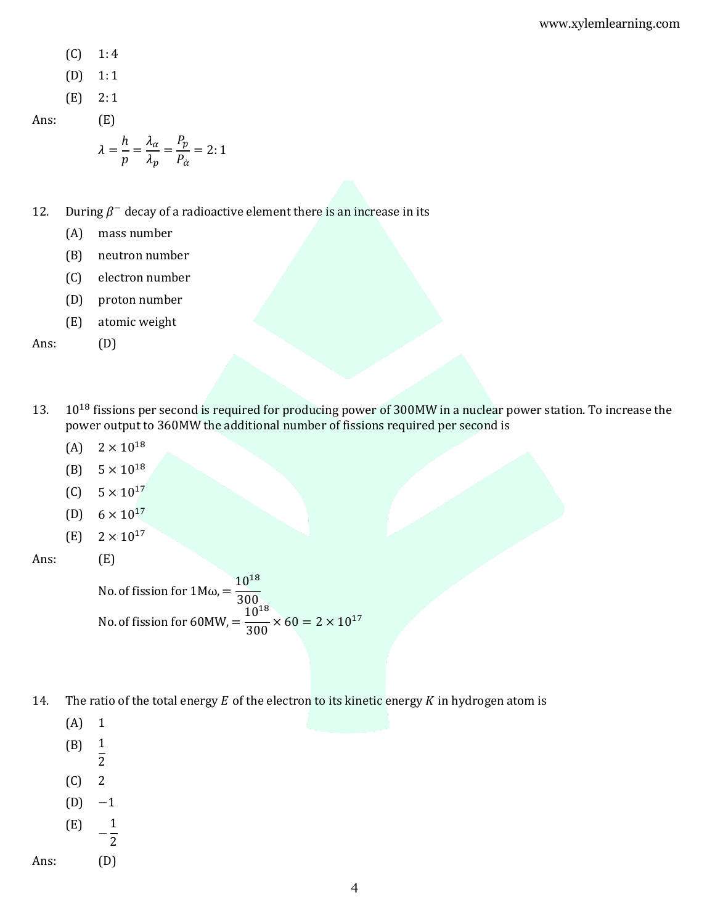- $(C)$  1:4
- $(D) 1:1$
- (E) 2: 1

Ans: (E)

$$
\lambda = \frac{h}{p} = \frac{\lambda_{\alpha}}{\lambda_{p}} = \frac{P_{p}}{P_{\alpha}} = 2:1
$$

- 12. During  $\beta^-$  decay of a radioactive element there is an increase in its
	- (A) mass number
	- (B) neutron number
	- (C) electron number
	- (D) proton number
	- (E) atomic weight

Ans: (D)

- 13. 10<sup>18</sup> fissions per second is required for producing power of 300MW in a nuclear power station. To increase the power output to 360MW the additional number of fissions required per second is
	- (A)  $2 \times 10^{18}$
	- (B)  $5 \times 10^{18}$
	- $(C)$  5 × 10<sup>17</sup>
	- (D)  $6 \times 10^{17}$
	- $(E)$  2 × 10<sup>17</sup>
- Ans: (E)

No. of fission for  $1M\omega$ , =  $10^{18}$ 300 No. of fission for 60MW, =  $10^{18}$  $\frac{18}{300}$  × 60 = 2 × 10<sup>17</sup>

- 14. The ratio of the total energy  $E$  of the electron to its kinetic energy  $K$  in hydrogen atom is
	- (A) 1
	- (B) 1
	- $\overline{2}$
	- $(C)$  2
	- $(D) -1$
	- (E) − 1 2
- Ans: (D)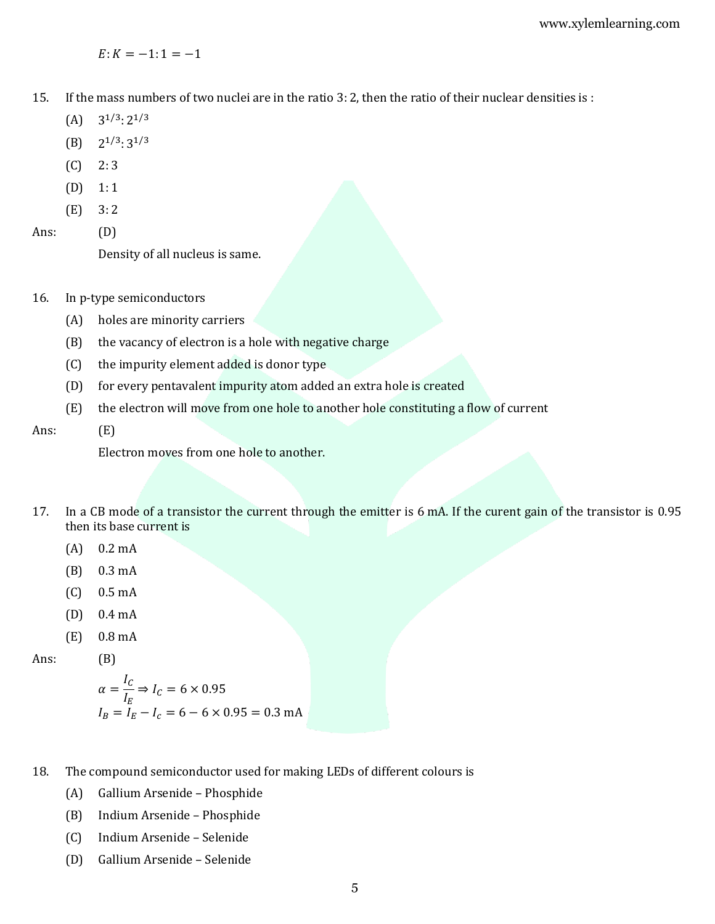$E: K = -1: 1 = -1$ 

- 15. If the mass numbers of two nuclei are in the ratio 3: 2, then the ratio of their nuclear densities is :
	- $(A)$  $1/3$ :  $2^{1/3}$
	- $(B)$  $1/3$ :  $3^{1/3}$
	- $(C) 2:3$
	- $(D) 1:1$
	- $(E)$  3: 2

Ans: (D)

Density of all nucleus is same.

- 16. In p-type semiconductors
	- (A) holes are minority carriers
	- (B) the vacancy of electron is a hole with negative charge
	- (C) the impurity element added is donor type
	- (D) for every pentavalent impurity atom added an extra hole is created
	- (E) the electron will move from one hole to another hole constituting a flow of current
- Ans: (E)

Electron moves from one hole to another.

- 17. In a CB mode of a transistor the current through the emitter is 6 mA. If the curent gain of the transistor is 0.95 then its base current is
	- (A) 0.2 mA
	- (B) 0.3 mA
	- (C) 0.5 mA
	- (D) 0.4 mA
	- (E) 0.8 mA

Ans: (B)

$$
\alpha = \frac{I_C}{I_E} \Rightarrow I_C = 6 \times 0.95
$$
  

$$
I_B = I_E - I_C = 6 - 6 \times 0.95 = 0.3 \text{ mA}
$$

- 18. The compound semiconductor used for making LEDs of different colours is
	- (A) Gallium Arsenide Phosphide
	- (B) Indium Arsenide Phosphide
	- (C) Indium Arsenide Selenide
	- (D) Gallium Arsenide Selenide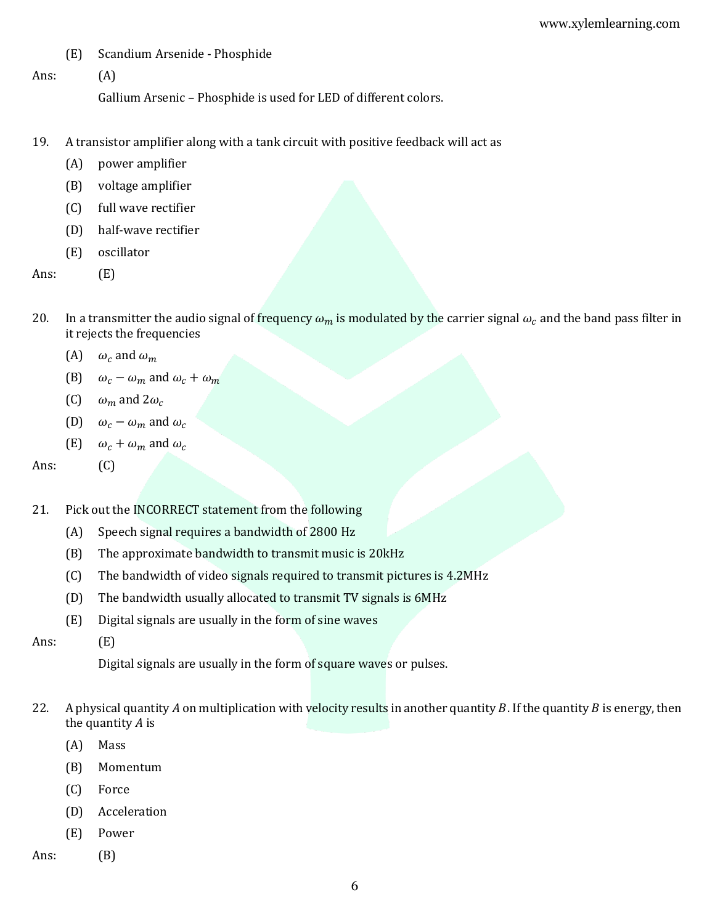- (E) Scandium Arsenide Phosphide
- Ans: (A)

Gallium Arsenic – Phosphide is used for LED of different colors.

- 19. A transistor amplifier along with a tank circuit with positive feedback will act as
	- (A) power amplifier
	- (B) voltage amplifier
	- (C) full wave rectifier
	- (D) half-wave rectifier
	- (E) oscillator
- Ans: (E)
- 20. In a transmitter the audio signal of frequency  $\omega_m$  is modulated by the carrier signal  $\omega_c$  and the band pass filter in it rejects the frequencies
	- (A)  $\omega_c$  and  $\omega_m$
	- (B)  $\omega_c \omega_m$  and  $\omega_c + \omega_m$
	- (C)  $\omega_m$  and  $2\omega_c$
	- (D)  $\omega_c \omega_m$  and  $\omega_c$
	- (E)  $\omega_c + \omega_m$  and  $\omega_c$

Ans: (C)

- 21. Pick out the INCORRECT statement from the following
	- (A) Speech signal requires a bandwidth of 2800 Hz
	- (B) The approximate bandwidth to transmit music is 20kHz
	- (C) The bandwidth of video signals required to transmit pictures is 4.2MHz
	- (D) The bandwidth usually allocated to transmit TV signals is 6MHz
	- (E) Digital signals are usually in the form of sine waves
- Ans: (E)

Digital signals are usually in the form of square waves or pulses.

- 22. A physical quantity A on multiplication with velocity results in another quantity B. If the quantity B is energy, then the quantity  $A$  is
	- (A) Mass
	- (B) Momentum
	- (C) Force
	- (D) Acceleration
	- (E) Power
- Ans: (B)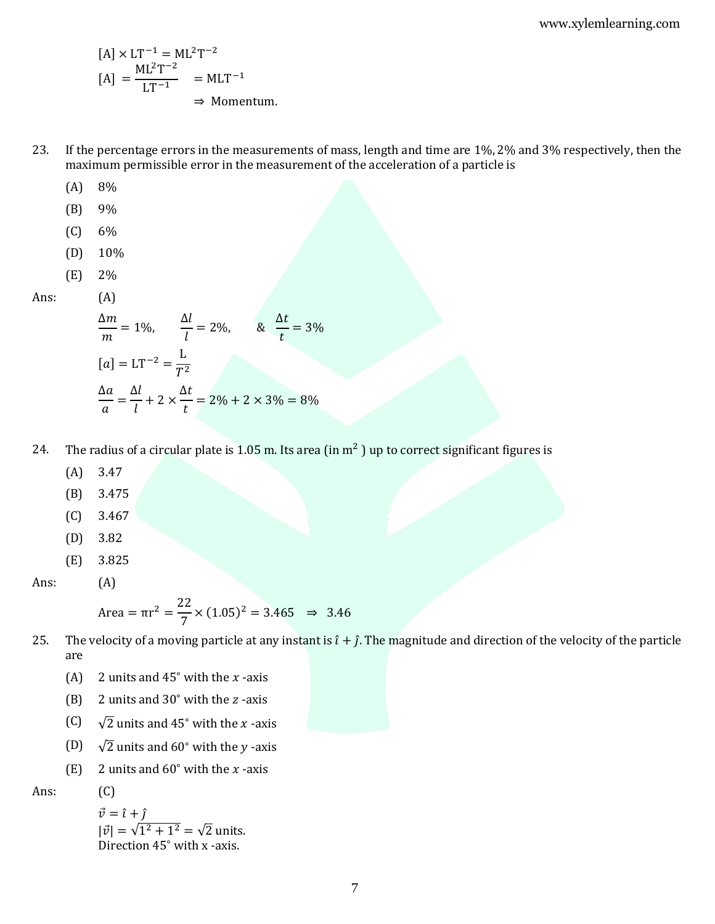$$
[A] \times LT^{-1} = ML^{2}T^{-2}
$$

$$
[A] = \frac{ML^{2}T^{-2}}{LT^{-1}} = MLT^{-1}
$$

$$
\Rightarrow \text{Momentum.}
$$

- 23. If the percentage errors in the measurements of mass, length and time are 1%, 2% and 3% respectively, then the maximum permissible error in the measurement of the acceleration of a particle is
	- (A) 8%
	- (B) 9%
	- (C) 6%
	- (D) 10%
	- (E) 2%
- Ans: (A)

$$
\frac{\Delta m}{m} = 1\%, \qquad \frac{\Delta l}{l} = 2\%, \qquad \& \quad \frac{\Delta t}{t} = 3\%
$$
\n
$$
[a] = LT^{-2} = \frac{L}{T^2}
$$
\n
$$
\frac{\Delta a}{a} = \frac{\Delta l}{l} + 2 \times \frac{\Delta t}{t} = 2\% + 2 \times 3\% = 8\%
$$

- 24. The radius of a circular plate is 1.05 m. Its area (in  $m^2$  ) up to correct significant figures is
	- (A) 3.47
	- (B) 3.475
	- (C) 3.467
	- (D) 3.82
	- (E) 3.825

Ans: (A)

Area = 
$$
\pi r^2 = \frac{22}{7} \times (1.05)^2 = 3.465 \Rightarrow 3.46
$$

- 25. The velocity of a moving particle at any instant is  $\hat{i} + \hat{j}$ . The magnitude and direction of the velocity of the particle are
	- (A) 2 units and  $45°$  with the *x*-axis
	- (B) 2 units and  $30^\circ$  with the *z* -axis
	- (C)  $\sqrt{2}$  units and 45° with the *x*-axis
	- (D)  $\sqrt{2}$  units and 60° with the *y*-axis
	- (E) 2 units and  $60^\circ$  with the *x*-axis

Ans: (C)

 $\vec{v} = \hat{i} + \hat{j}$  $|\vec{v}| = \sqrt{1^2 + 1^2} = \sqrt{2}$  units. Direction 45<sup>∘</sup> with x -axis.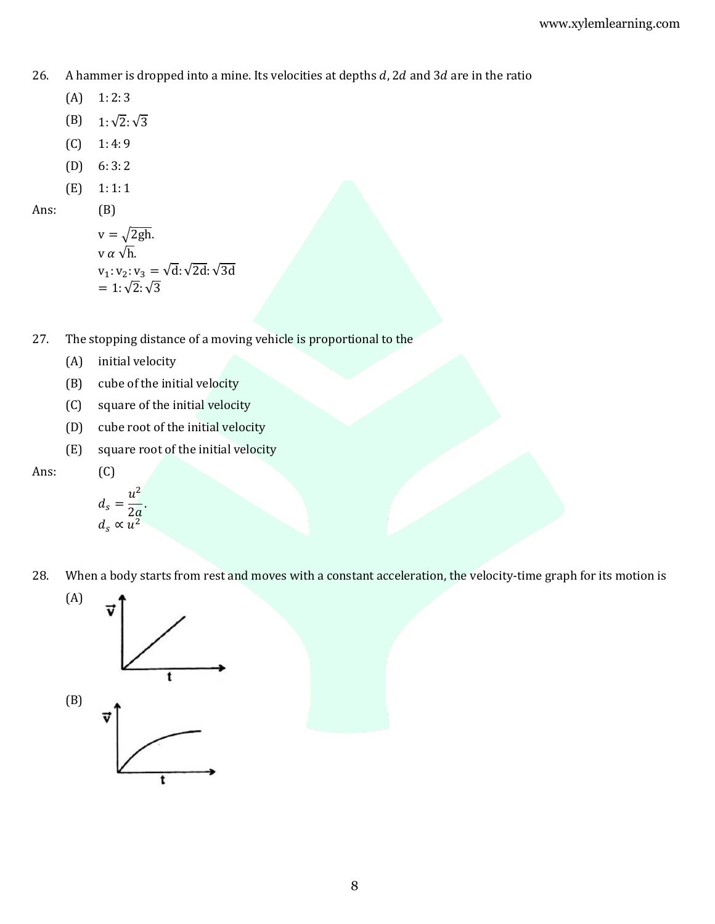26. A hammer is dropped into a mine. Its velocities at depths  $d$ , 2d and 3d are in the ratio

- $(A)$  1: 2: 3
- (B)  $1:\sqrt{2}:\sqrt{3}$
- $(C)$  1: 4: 9
- (D)  $6:3:2$
- (E) 1: 1: 1

Ans: (B)

$$
v = \sqrt{2gh}.
$$
  
\n
$$
v \alpha \sqrt{h}.
$$
  
\n
$$
v_1: v_2: v_3 = \sqrt{d}: \sqrt{2d}: \sqrt{3d}
$$
  
\n
$$
= 1: \sqrt{2}: \sqrt{3}
$$

- 27. The stopping distance of a moving vehicle is proportional to the
	- (A) initial velocity
	- (B) cube of the initial velocity
	- (C) square of the initial velocity
	- (D) cube root of the initial velocity
	- (E) square root of the initial velocity

$$
d_s = \frac{u^2}{2a}.
$$
  

$$
d_s \propto u^2
$$

 $(C)$ 

28. When a body starts from rest and moves with a constant acceleration, the velocity-time graph for its motion is

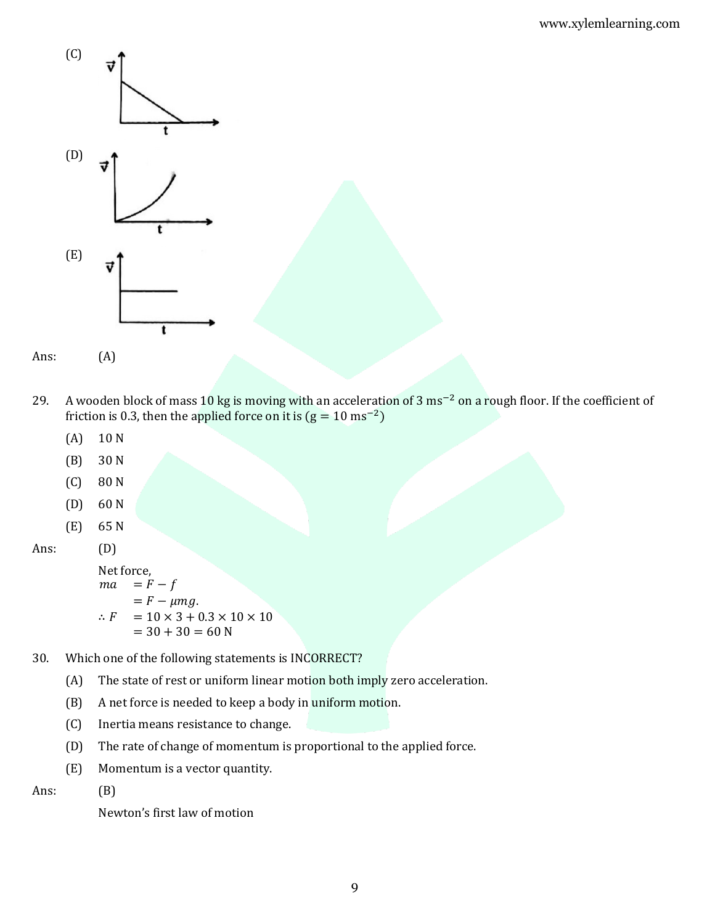



- 29. A wooden block of mass 10 kg is moving with an acceleration of 3 ms−2 on a rough floor. If the coefficient of friction is 0.3, then the applied force on it is  $(g = 10 \text{ ms}^{-2})$ 
	- (A) 10 N
	- (B) 30 N
	- (C) 80 N
	- (D) 60 N
	- (E) 65 N

Ans: (D)

Net force,  $ma = F - f$  $= F - \mu mg.$ ∴  $F = 10 \times 3 + 0.3 \times 10 \times 10$  $= 30 + 30 = 60 N$ 

- 30. Which one of the following statements is INCORRECT?
	- (A) The state of rest or uniform linear motion both imply zero acceleration.
	- (B) A net force is needed to keep a body in uniform motion.
	- (C) Inertia means resistance to change.
	- (D) The rate of change of momentum is proportional to the applied force.
	- (E) Momentum is a vector quantity.

Ans: (B)

Newton's first law of motion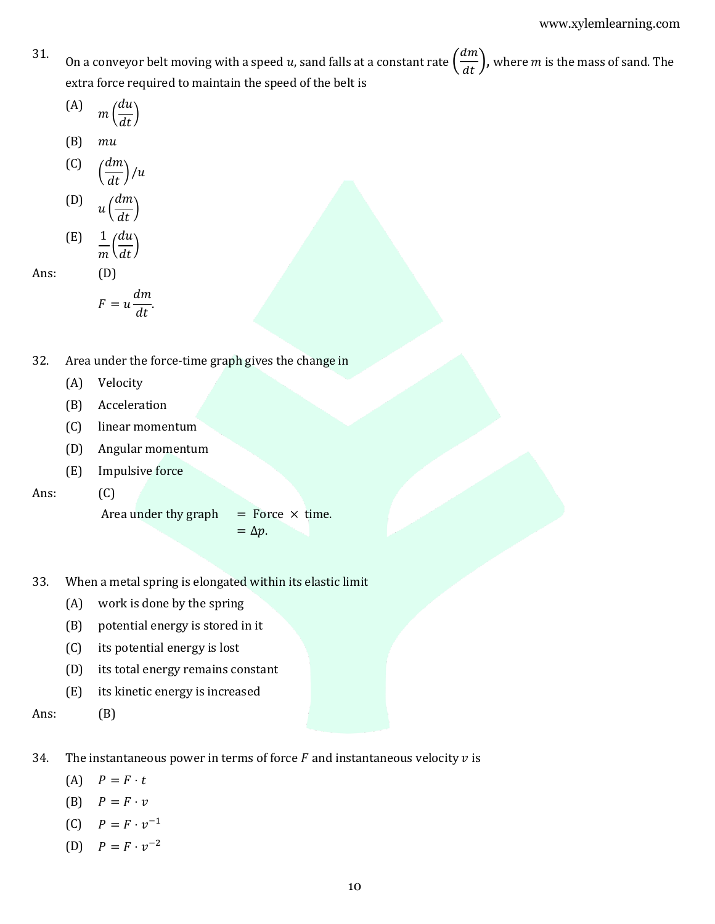31. On a conveyor belt moving with a speed  $u$ , sand falls at a constant rate  $\left(\frac{dm}{dt}\right)$ , where  $m$  is the mass of sand. The extra force required to maintain the speed of the belt is

$$
\text{(A)} \quad m\left(\frac{du}{dt}\right)
$$

$$
(B) \quad mu
$$

$$
\begin{pmatrix} C & d m \\ \frac{d t}{d t} & \end{pmatrix} / u
$$

$$
\begin{array}{cc}\n\text{(D)} & u\left(\frac{dm}{dt}\right) \\
\text{(E)} & 1/dy\n\end{array}
$$

$$
\begin{array}{cc} \text{(E)} & \frac{1}{m} \left( \frac{du}{dt} \right) \end{array}
$$

Ans: (D)

$$
F = u \frac{dm}{dt}.
$$

- 32. Area under the force-time graph gives the change in
	- (A) Velocity
	- (B) Acceleration
	- (C) linear momentum
	- (D) Angular momentum
	- (E) Impulsive force

Ans: (C)

Area under thy graph  $=$  Force  $\times$  time.

 $=$   $\Delta p$ .

- 33. When a metal spring is elongated within its elastic limit
	- (A) work is done by the spring
	- (B) potential energy is stored in it
	- (C) its potential energy is lost
	- (D) its total energy remains constant
	- (E) its kinetic energy is increased

Ans: (B)

- 34. The instantaneous power in terms of force  $F$  and instantaneous velocity  $v$  is
	- $(A)$   $P = F \cdot t$
	- (B)  $P = F \cdot v$
	- (C)  $P = F \cdot v^{-1}$
	- (D)  $P = F \cdot v^{-2}$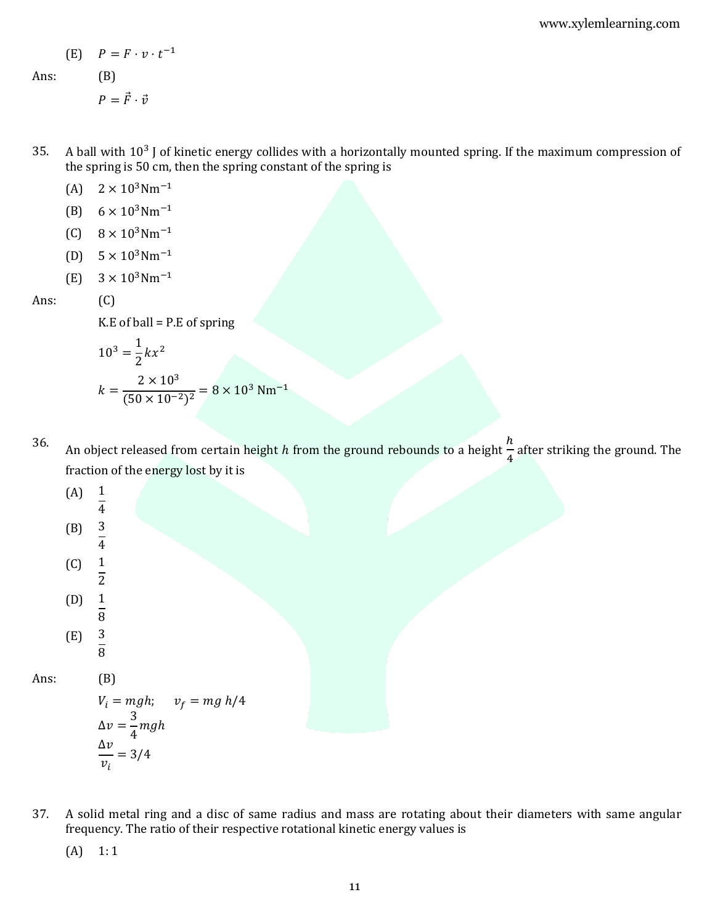$$
(E) \quad P = F \cdot v \cdot t^{-1}
$$

Ans: (B)

 $P = \vec{F} \cdot \vec{v}$ 

- 35. A ball with  $10^3$  J of kinetic energy collides with a horizontally mounted spring. If the maximum compression of the spring is 50 cm, then the spring constant of the spring is
	- (A)  $2 \times 10^3$ Nm<sup>-1</sup>
	- (B)  $6 \times 10^3$ Nm<sup>-1</sup>
	- $(C)$  8 × 10<sup>3</sup>Nm<sup>-1</sup>
	- (D)  $5 \times 10^3$ Nm<sup>-1</sup>
	- $(E)$  3 × 10<sup>3</sup>Nm<sup>-1</sup>

Ans: (C)

 $K.E$  of ball = P.E of spring

$$
10^3 = \frac{1}{2}kx^2
$$
  

$$
k = \frac{2 \times 10^3}{(50 \times 10^{-2})^2} = 8 \times 10^3 \text{ Nm}^{-1}
$$

## 36.

An object released from certain height h from the ground rebounds to a height  $\frac{h}{t}$  $\frac{1}{4}$  after striking the ground. The fraction of the energy lost by it is



- $V_i = mgh; \quad v_f = mg h/4$  $\Delta v =$ 3  $\frac{1}{4}$ mgh  $\Delta v$  $\frac{v_i}{v_i} = 3/4$
- 37. A solid metal ring and a disc of same radius and mass are rotating about their diameters with same angular frequency. The ratio of their respective rotational kinetic energy values is
	- $(A)$  1:1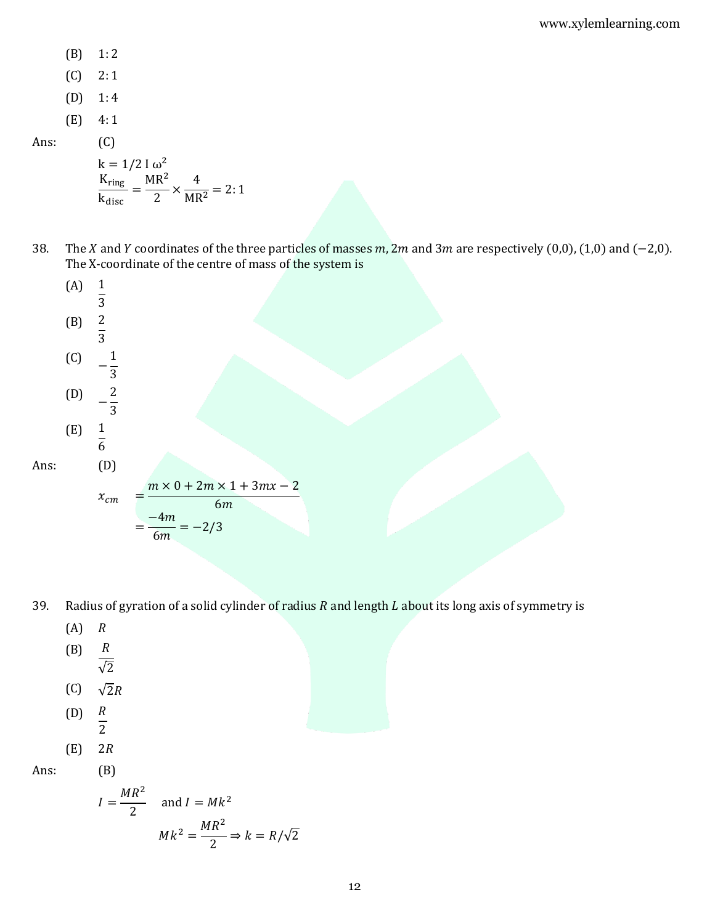- (B) 1: 2
- $(C) 2:1$
- (D) 1: 4
- (E) 4: 1

Ans: (C)

$$
k = 1/2 I \omega^2
$$
  
\n
$$
\frac{K_{ring}}{k_{disc}} = \frac{MR^2}{2} \times \frac{4}{MR^2} = 2:1
$$

38. The X and Y coordinates of the three particles of masses  $m$ , 2m and 3m are respectively (0,0), (1,0) and (-2,0). The X-coordinate of the centre of mass of the system is



- 39. Radius of gyration of a solid cylinder of radius  $R$  and length  $L$  about its long axis of symmetry is
	- $(A)$   $R$
	- $(B)$   $R$  $\overline{\sqrt{2}}$
	- (C)  $\sqrt{2}R$
	- $(D)$   $R$
	- $\overline{2}$
	- $(E)$  2R

Ans: (B)

$$
I = \frac{MR^2}{2} \quad \text{and } I = Mk^2
$$
\n
$$
Mk^2 = \frac{MR^2}{2} \Rightarrow k = R/\sqrt{2}
$$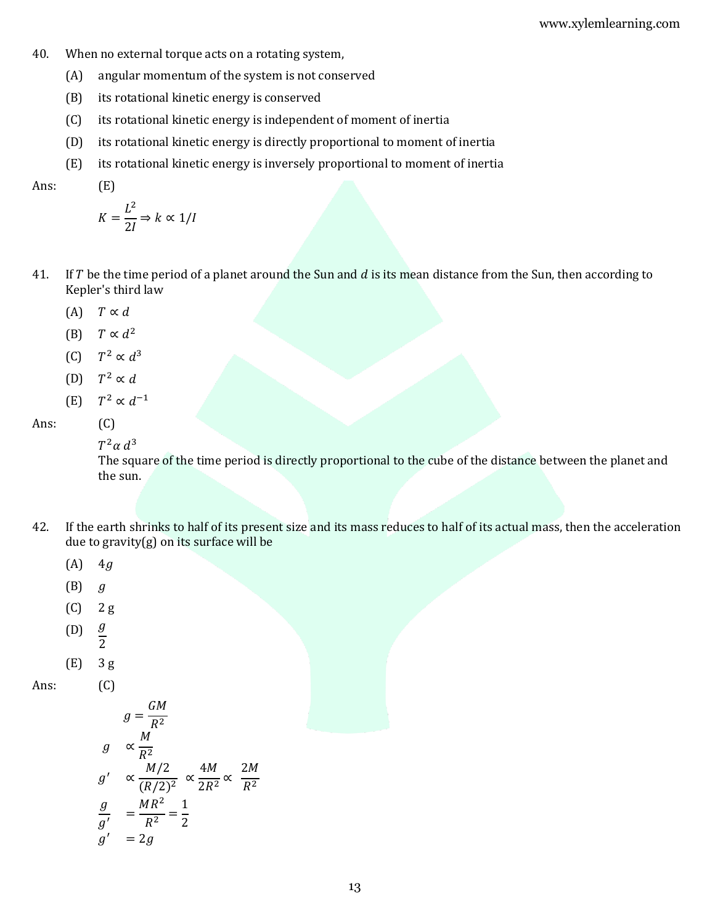- 40. When no external torque acts on a rotating system,
	- (A) angular momentum of the system is not conserved
	- (B) its rotational kinetic energy is conserved
	- (C) its rotational kinetic energy is independent of moment of inertia
	- (D) its rotational kinetic energy is directly proportional to moment of inertia
	- (E) its rotational kinetic energy is inversely proportional to moment of inertia

Ans: (E)

$$
K=\frac{L^2}{2I}\Rightarrow k\propto 1/I
$$

- 41. If  $T$  be the time period of a planet around the Sun and  $d$  is its mean distance from the Sun, then according to Kepler's third law
	- (A)  $T \propto d$
	- (B)  $T \propto d^2$
	- $(C)$ <sup>2</sup> ∝  $d^3$
	- (D)  $T^2 \propto d$
	- (E) <sup>2</sup>  $\propto d^{-1}$

Ans: (C)

```
T^2\alpha d^3
```
The square of the time period is directly proportional to the cube of the distance between the planet and the sun.

- 42. If the earth shrinks to half of its present size and its mass reduces to half of its actual mass, then the acceleration due to gravity $(g)$  on its surface will be
	- $(A)$  4g
	- $(B)$  g
	- (C) 2 g
	- $(D)$   $\underline{g}$  $\overline{2}$
	- (E) 3 g

Ans: (C)

$$
g = \frac{GM}{R^2}
$$
  
\n
$$
g \propto \frac{M}{R^2}
$$
  
\n
$$
g' \propto \frac{M/2}{(R/2)^2} \propto \frac{4M}{2R^2} \propto \frac{2M}{R^2}
$$
  
\n
$$
\frac{g}{g'} = \frac{MR^2}{R^2} = \frac{1}{2}
$$
  
\n
$$
g' = 2g
$$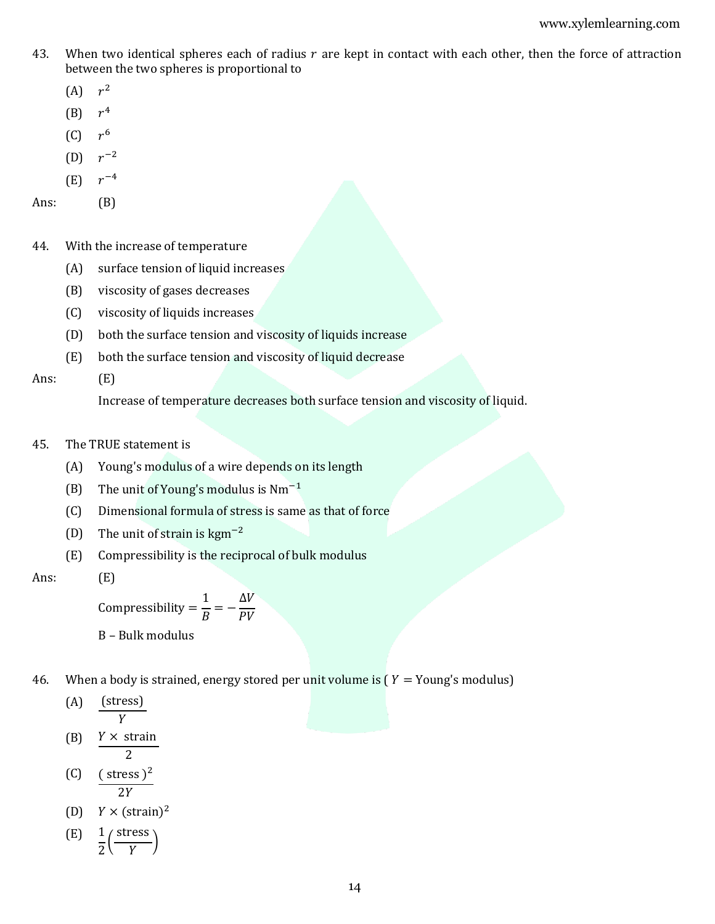- 43. When two identical spheres each of radius  $r$  are kept in contact with each other, then the force of attraction between the two spheres is proportional to
	- $(A)$   $r^2$
	- (B)  $r^4$
	- $(C)$  $r<sup>6</sup>$
	- $(D)$   $r^{-2}$
	- (E)  $r^{-4}$

Ans: (B)

- 44. With the increase of temperature
	- (A) surface tension of liquid increases
	- (B) viscosity of gases decreases
	- (C) viscosity of liquids increases
	- (D) both the surface tension and viscosity of liquids increase
	- (E) both the surface tension and viscosity of liquid decrease

Ans: (E)

Increase of temperature decreases both surface tension and viscosity of liquid.

- 45. The TRUE statement is
	- (A) Young's modulus of a wire depends on its length
	- (B) The unit of Young's modulus is Nm−1
	- (C) Dimensional formula of stress is same as that of force
	- (D) The unit of strain is  $\text{kgm}^{-2}$
	- (E) Compressibility is the reciprocal of bulk modulus
- Ans: (E)

Compressibility = 1  $\frac{1}{B} = \Delta V$  $PV$ 

- B Bulk modulus
- 46. When a body is strained, energy stored per unit volume is  $(Y = Young's$  modulus)

$$
\begin{array}{cc}\n\text{(A)} & \frac{\text{(stress)}}{Y}\n\end{array}
$$

- (B)  $Y \times$  strain  $\overline{2}$
- $(C)$  (stress)<sup>2</sup>  $2Y$
- (D)  $Y \times (\text{strain})^2$

$$
\begin{array}{cc}\n\text{(E)} & \frac{1}{2} \left( \frac{\text{stress}}{Y} \right)\n\end{array}
$$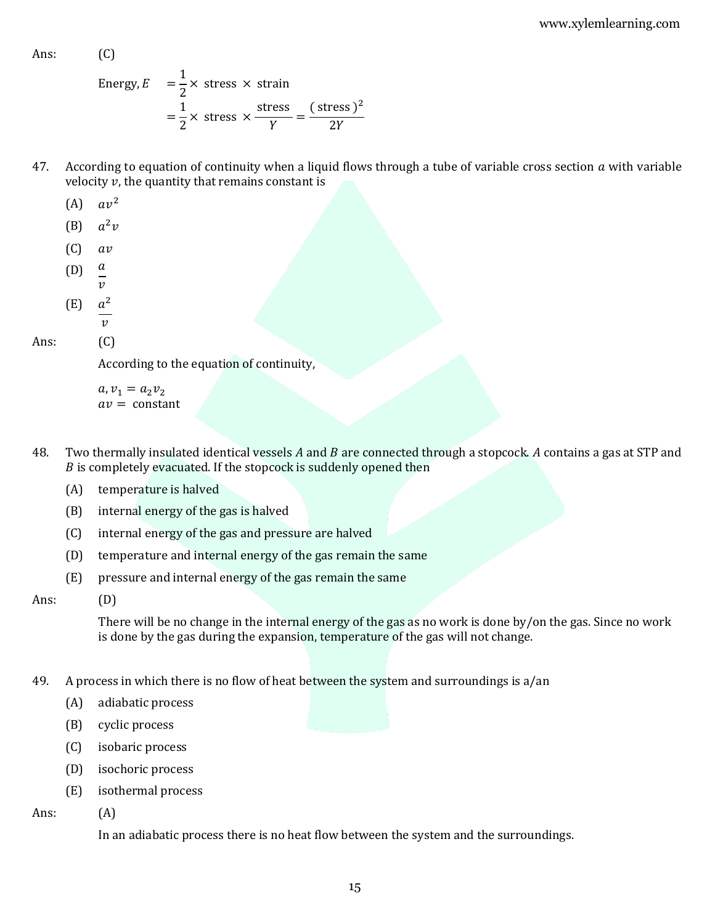Ans: (C)

Energy, 
$$
E = \frac{1}{2} \times \text{stress} \times \text{strain}
$$
  
=  $\frac{1}{2} \times \text{stress} \times \frac{\text{stress}}{Y} = \frac{(\text{stress})^2}{2Y}$ 

- 47. According to equation of continuity when a liquid flows through a tube of variable cross section  $a$  with variable velocity  $v$ , the quantity that remains constant is
	- (A)  $av^2$
	- (B)  $a^2v$
	- $(C)$  av
	- $(D)$  a  $\boldsymbol{v}$
	- (E)  $a^2$

 $\mathcal{V}$ 

## Ans: (C)

According to the equation of continuity,

 $a, v_1 = a_2 v_2$  $av = constant$ 

- 48. Two thermally insulated identical vessels  $A$  and  $B$  are connected through a stopcock.  $A$  contains a gas at STP and  $B$  is completely evacuated. If the stopcock is suddenly opened then
	- (A) temperature is halved
	- (B) internal energy of the gas is halved
	- (C) internal energy of the gas and pressure are halved
	- (D) temperature and internal energy of the gas remain the same
	- (E) pressure and internal energy of the gas remain the same

Ans: (D)

There will be no change in the internal energy of the gas as no work is done by/on the gas. Since no work is done by the gas during the expansion, temperature of the gas will not change.

- 49. A process in which there is no flow of heat between the system and surroundings is a/an
	- (A) adiabatic process
	- (B) cyclic process
	- (C) isobaric process
	- (D) isochoric process
	- (E) isothermal process
- Ans: (A)

In an adiabatic process there is no heat flow between the system and the surroundings.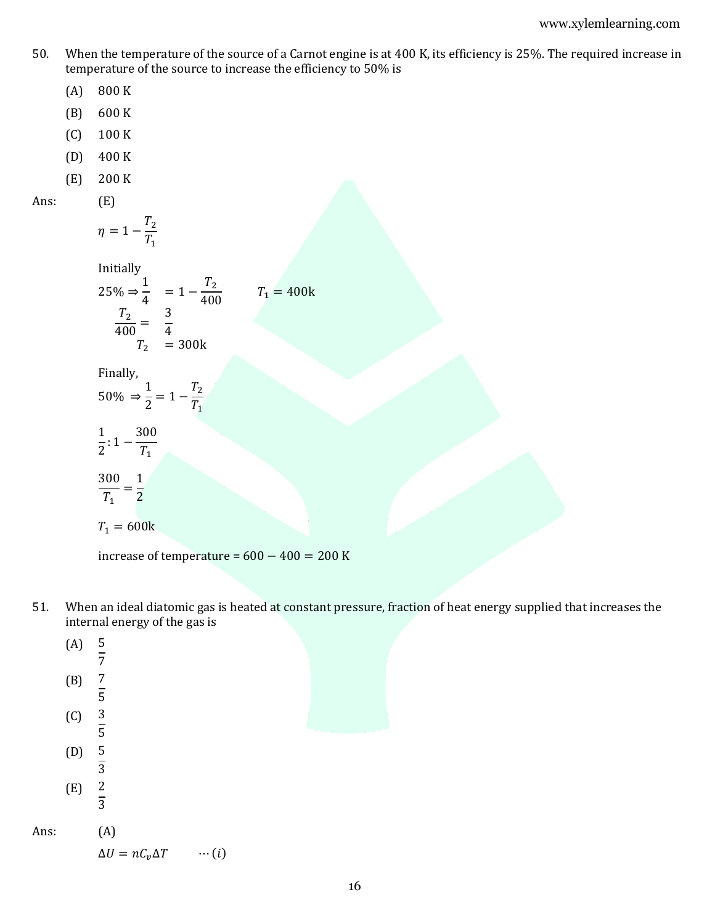- 50. When the temperature of the source of a Carnot engine is at 400 K, its efficiency is 25%. The required increase in temperature of the source to increase the efficiency to 50% is
	- (A) 800 K
	- (B) 600 K
	- (C) 100 K
	- (D) 400 K
	- (E) 200 K
- Ans: (E)

$$
\eta=1-\frac{T_2}{T_1}
$$

Initially

$$
25\% \Rightarrow \frac{1}{4} = 1 - \frac{T_2}{400}
$$
  

$$
\frac{T_2}{400} = \frac{3}{4}
$$
  

$$
T_2 = 300k
$$
  

$$
T_1 = 400k
$$

Finally,

$$
50\% \Rightarrow \frac{1}{2} = 1 - \frac{T_2}{T_1}
$$

$$
\frac{1}{2}:1-\frac{300}{T_1}
$$

$$
\frac{300}{T_1} = \frac{1}{2}
$$

$$
T_1=600\mathrm{k}
$$

increase of temperature =  $600 - 400 = 200$  K

51. When an ideal diatomic gas is heated at constant pressure, fraction of heat energy supplied that increases the internal energy of the gas is

|      | (A) | $rac{5}{7}$                                |  |
|------|-----|--------------------------------------------|--|
|      | (B) | $\frac{7}{5}$                              |  |
|      | (C) | $\frac{3}{5}$                              |  |
|      | (D) | $rac{5}{3}$                                |  |
|      | (E) | $rac{2}{3}$                                |  |
| Ans: |     | (A)                                        |  |
|      |     | $\Delta U = nC_v \Delta T$<br>$\cdots (i)$ |  |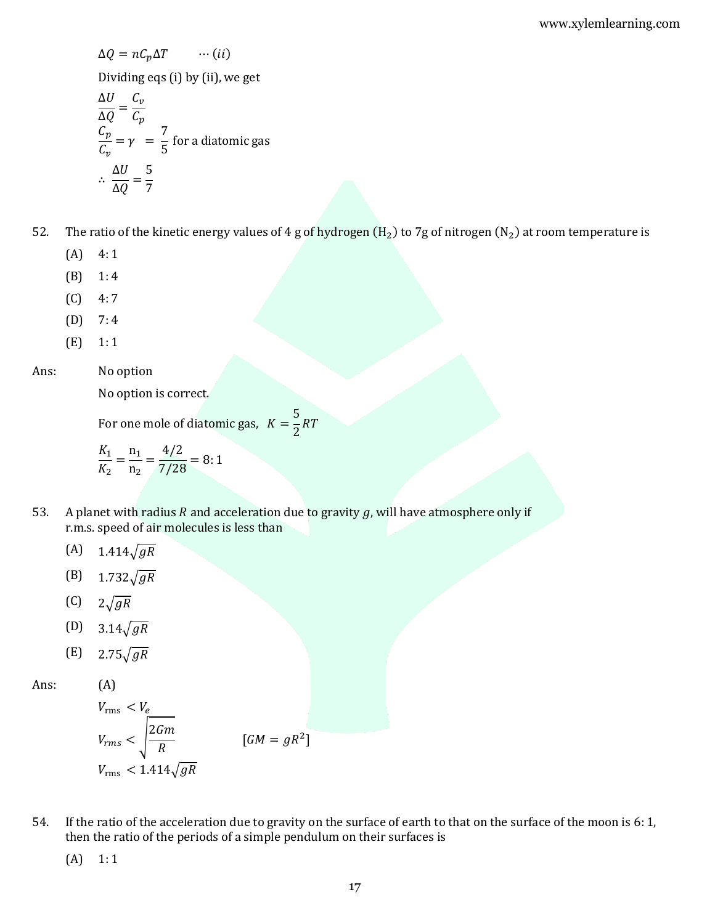$$
\Delta Q = nC_p \Delta T \qquad \cdots (ii)
$$

Dividing eqs (i) by (ii), we get

$$
\frac{\Delta U}{\Delta Q} = \frac{C_v}{C_p}
$$
  
\n
$$
\frac{C_p}{C_v} = \gamma = \frac{7}{5}
$$
 for a diatomic gas  
\n
$$
\therefore \frac{\Delta U}{\Delta Q} = \frac{5}{7}
$$

- 52. The ratio of the kinetic energy values of 4 g of hydrogen (H<sub>2</sub>) to 7g of nitrogen (N<sub>2</sub>) at room temperature is
	- $(A)$  4:1
	- $(B)$  1:4
	- $(C) \quad 4:7$
	- $(D)$  7:4
	- (E) 1: 1

# Ans: No option

No option is correct.

For one mole of diatomic gas,  $K =$ 5  $\frac{1}{2}RT$ 

$$
\frac{K_1}{K_2} = \frac{n_1}{n_2} = \frac{4/2}{7/28} = 8:1
$$

- 53. A planet with radius  $R$  and acceleration due to gravity  $g$ , will have atmosphere only if r.m.s. speed of air molecules is less than
	- (A)  $1.414\sqrt{gR}$
	- (B)  $1.732\sqrt{gR}$
	- (C)  $2\sqrt{gR}$
	- (D)  $3.14\sqrt{gR}$
	- (E)  $2.75\sqrt{gR}$

Ans: (A)

$$
V_{\rm rms} < V_e
$$
\n
$$
V_{\rm rms} < \sqrt{\frac{2Gm}{R}}
$$
\n
$$
V_{\rm rms} < 1.414\sqrt{gR}
$$
\n
$$
[GM = gR^2]
$$

54. If the ratio of the acceleration due to gravity on the surface of earth to that on the surface of the moon is 6: 1, then the ratio of the periods of a simple pendulum on their surfaces is

 $(A)$  1:1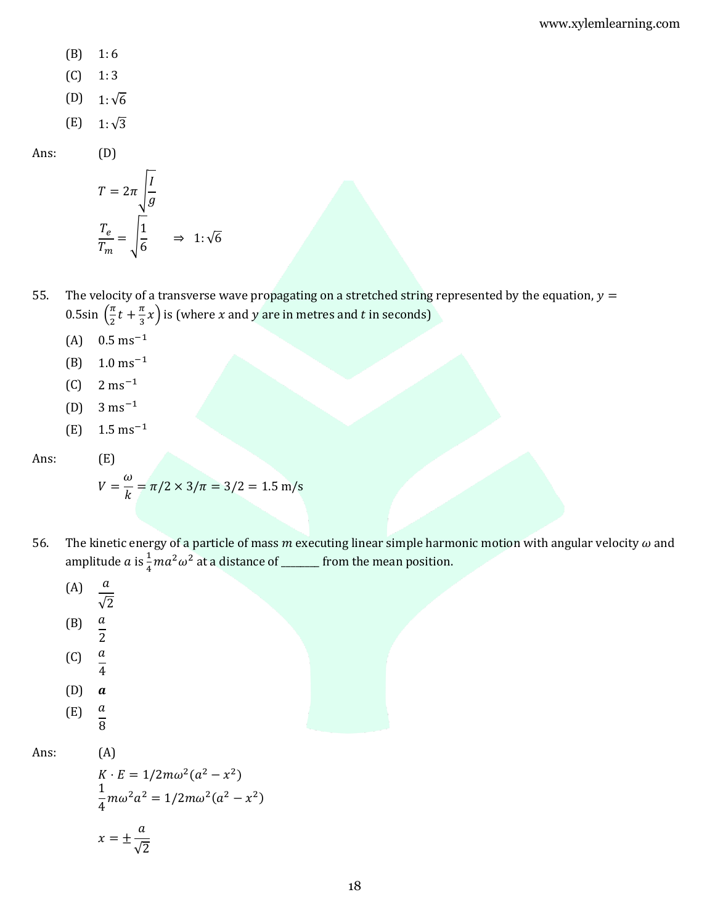- $(B)$  1:6
- $(C)$  1:3
- (D) 1:√6
- (E)  $1:\sqrt{3}$

Ans: (D)

$$
T = 2\pi \sqrt{\frac{I}{g}}
$$

$$
\frac{T_e}{T_m} = \sqrt{\frac{1}{6}} \implies 1: \sqrt{6}
$$

- 55. The velocity of a transverse wave propagating on a stretched string represented by the equation,  $y =$ 0.5sin  $\left(\frac{\pi}{2}\right)$  $\frac{\pi}{2}t + \frac{\pi}{3}$  $\frac{\pi}{3}x$ ) is (where x and y are in metres and t in seconds)
	- $(A)$  0.5 ms<sup>-1</sup>
	- (B) 1.0 ms−1
	- $(C)$  2 ms<sup>-1</sup>
	- (D)  $3 \text{ ms}^{-1}$
	- $(E)$  1.5 ms<sup>-1</sup>

Ans: (E)

$$
V = \frac{\omega}{k} = \pi/2 \times 3/\pi = 3/2 = 1.5 \text{ m/s}
$$

56. The kinetic energy of a particle of mass  $m$  executing linear simple harmonic motion with angular velocity  $\omega$  and amplitude  $a$  is  $\frac{1}{4}ma^2\omega^2$  at a distance of \_\_\_\_\_\_\_ from the mean position.

(A) 
$$
\frac{a}{\sqrt{2}}
$$
  
\n(B)  $\frac{a}{2}$   
\n(C)  $\frac{a}{4}$   
\n(D) **a**  
\n(E)  $\frac{a}{8}$ 

Ans: (A)

$$
K \cdot E = 1/2m\omega^2(a^2 - x^2)
$$
  
\n
$$
\frac{1}{4}m\omega^2a^2 = 1/2m\omega^2(a^2 - x^2)
$$
  
\n
$$
x = \pm \frac{a}{\sqrt{2}}
$$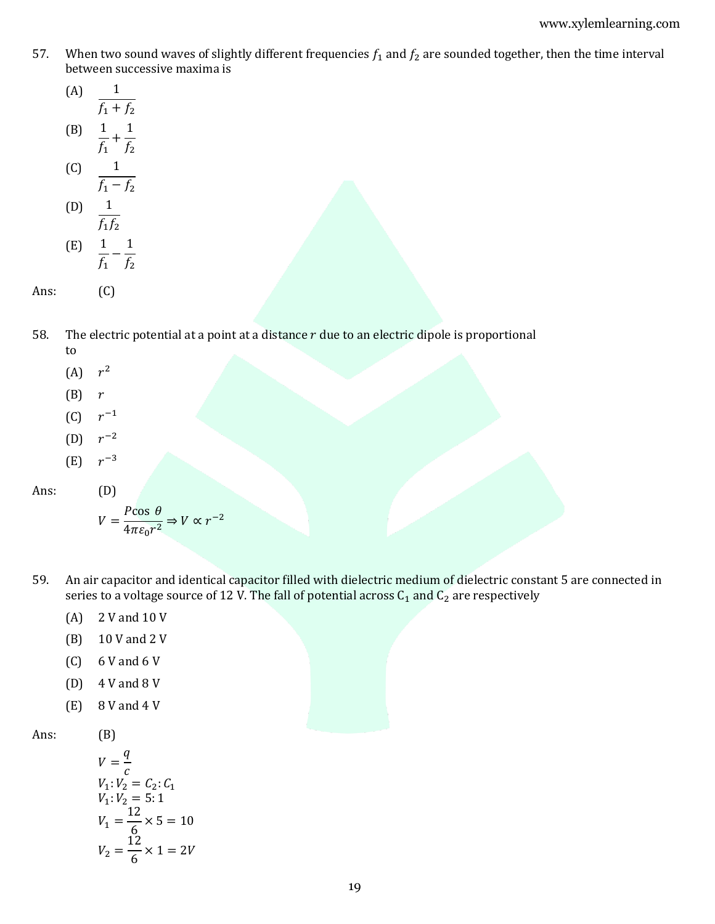57. When two sound waves of slightly different frequencies  $f_1$  and  $f_2$  are sounded together, then the time interval between successive maxima is

(A) 
$$
\frac{1}{f_1 + f_2}
$$
  
\n(B)  $\frac{1}{f_1} + \frac{1}{f_2}$ 

$$
\begin{array}{ccc}\n & f_1 & f_2 \\
\text{(C)} & \frac{1}{f_1 - f_2} \\
\text{(D)} & 1\n\end{array}
$$

(E) 
$$
\frac{1}{f_1 f_2}
$$
  
\n(E)  $\frac{1}{f_1} - \frac{1}{f_2}$ 

Ans: (C)

- 58. The electric potential at a point at a distance  $r$  due to an electric dipole is proportional to
	- $(A)$   $r^2$
	- $(B)$  r
	- (C)  $r^{-1}$
	- (D)  $r^{-2}$
	- (E)  $r^{-3}$

Ans: (D)

$$
V = \frac{P \cos \theta}{4\pi \varepsilon_0 r^2} \Rightarrow V \propto r^{-2}
$$

- 59. An air capacitor and identical capacitor filled with dielectric medium of dielectric constant 5 are connected in series to a voltage source of 12 V. The fall of potential across  $C_1$  and  $C_2$  are respectively
	- (A) 2 V and 10 V
	- (B) 10 V and 2 V
	- $(C)$  6 V and 6 V
	- (D) 4 V and 8 V
	- (E) 8 V and 4 V

Ans: (B)

$$
V = \frac{q}{c}
$$
  
\n
$$
V_1: V_2 = C_2: C_1
$$
  
\n
$$
V_1: V_2 = 5:1
$$
  
\n
$$
V_1 = \frac{12}{6} \times 5 = 10
$$
  
\n
$$
V_2 = \frac{12}{6} \times 1 = 2V
$$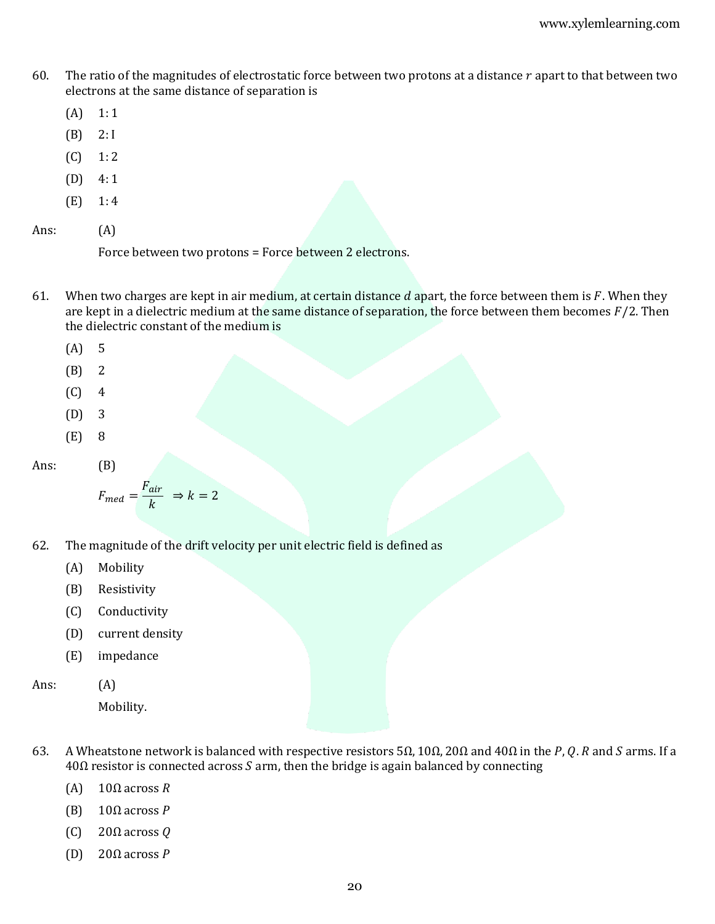- 60. The ratio of the magnitudes of electrostatic force between two protons at a distance  $r$  apart to that between two electrons at the same distance of separation is
	- $(A)$  1:1
	- (B) 2:I
	- $(C) 1: 2$
	- (D) 4: 1
	- $(E)$  1:4

Ans: (A)

Force between two protons = Force between 2 electrons.

- 61. When two charges are kept in air medium, at certain distance  $d$  apart, the force between them is  $F$ . When they are kept in a dielectric medium at the same distance of separation, the force between them becomes  $F/2$ . Then the dielectric constant of the medium is
	- (A) 5
	- (B) 2
	- $(C)$  4
	- (D) 3
	- (E) 8

Ans: (B)

$$
F_{med} = \frac{F_{air}}{k} \Rightarrow k = 2
$$

- 62. The magnitude of the drift velocity per unit electric field is defined as
	- (A) Mobility
	- (B) Resistivity
	- (C) Conductivity
	- (D) current density
	- (E) impedance

Ans: (A)

Mobility.

- 63. A Wheatstone network is balanced with respective resistors 5 $\Omega$ , 10 $\Omega$ , 20 $\Omega$  and 40 $\Omega$  in the P, Q.R and S arms. If a  $40\Omega$  resistor is connected across S arm, then the bridge is again balanced by connecting
	- (A)  $10Ω$  across R
	- (B)  $10Ω$  across P
	- (C) 20 $\Omega$  across  $Q$
	- (D) 20Ω across  $P$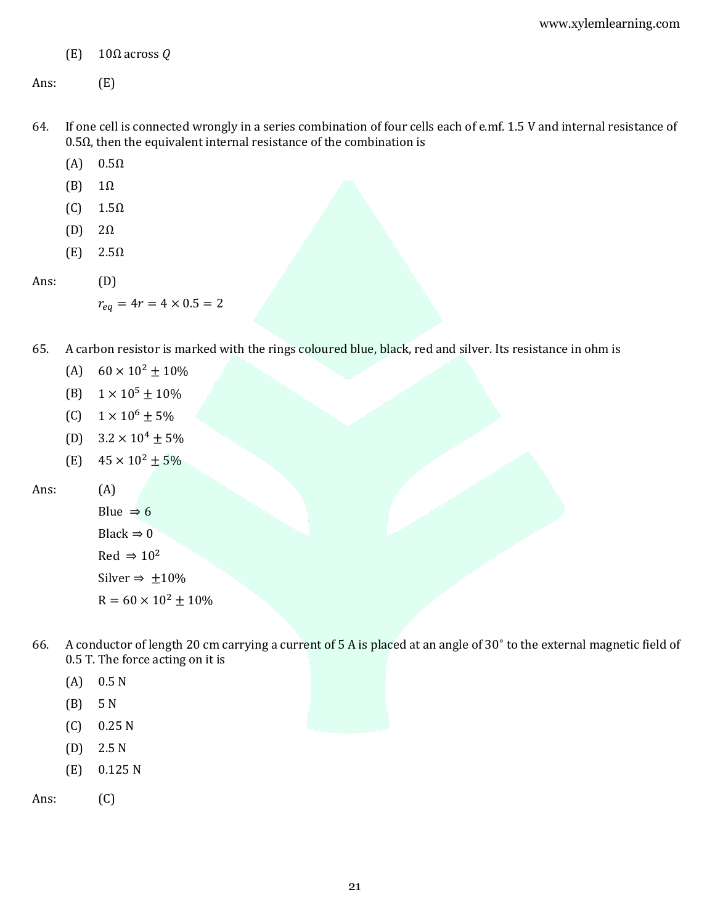(E)  $10Ω$  across  $Q$ 

Ans: (E)

- 64. If one cell is connected wrongly in a series combination of four cells each of e.mf. 1.5 V and internal resistance of 0.5Ω, then the equivalent internal resistance of the combination is
	- $(A)$  0.5 $\Omega$
	- $(B)$  1 $\Omega$
	- $(C)$  1.5 $\Omega$
	- (D) 2Ω
	- $(E)$  2.5 $\Omega$
- Ans: (D)

 $r_{eq} = 4r = 4 \times 0.5 = 2$ 

- 65. A carbon resistor is marked with the rings coloured blue, black, red and silver. Its resistance in ohm is
	- (A)  $60 \times 10^2 \pm 10\%$
	- (B)  $1 \times 10^5 \pm 10\%$
	- (C)  $1 \times 10^6 \pm 5\%$
	- (D)  $3.2 \times 10^4 \pm 5\%$
	- (E)  $45 \times 10^2 \pm 5\%$

Ans: (A)

Blue  $\Rightarrow$  6 Black  $\Rightarrow$  0  $Red \Rightarrow 10^2$ Silver  $\Rightarrow$  ±10%  $R = 60 \times 10^2 \pm 10\%$ 

- 66. A conductor of length 20 cm carrying a current of 5 A is placed at an angle of 30<sup>∘</sup> to the external magnetic field of 0.5 T. The force acting on it is
	- (A) 0.5 N
	- (B) 5 N
	- (C) 0.25 N
	- (D) 2.5 N
	- (E) 0.125 N

Ans: (C)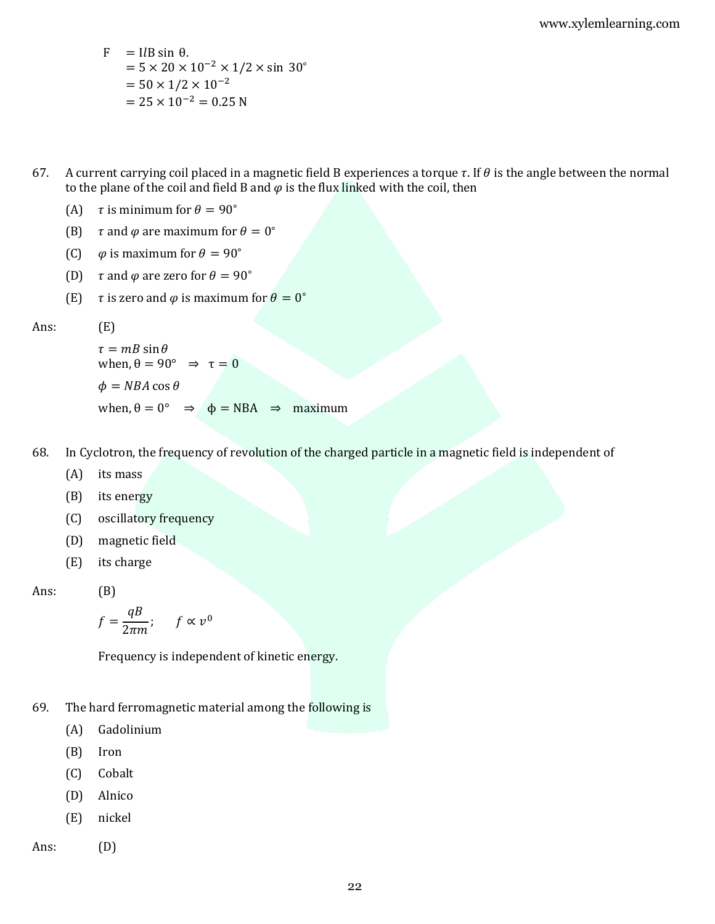F = ILB sin θ.  
\n= 
$$
5 \times 20 \times 10^{-2} \times 1/2 \times \sin 30^{\circ}
$$
  
\n=  $50 \times 1/2 \times 10^{-2}$   
\n=  $25 \times 10^{-2}$  = 0.25 N

67. A current carrying coil placed in a magnetic field B experiences a torque  $\tau$ . If  $\theta$  is the angle between the normal to the plane of the coil and field B and  $\varphi$  is the flux linked with the coil, then

(A) 
$$
\tau
$$
 is minimum for  $\theta = 90^{\circ}$ 

- (B)  $\tau$  and  $\varphi$  are maximum for  $\theta = 0^{\circ}$
- (C)  $\varphi$  is maximum for  $\theta = 90^\circ$
- (D)  $\tau$  and  $\varphi$  are zero for  $\theta = 90^\circ$
- (E)  $\tau$  is zero and  $\varphi$  is maximum for  $\theta = 0^{\circ}$

Ans: (E)

 $\tau = mB \sin \theta$ when,  $\theta = 90^{\circ} \Rightarrow \tau = 0$  $\phi = NBA \cos \theta$ when,  $\theta = 0^{\circ} \Rightarrow \phi = NBA \Rightarrow$  maximum

- 68. In Cyclotron, the frequency of revolution of the charged particle in a magnetic field is independent of
	- (A) its mass
	- (B) its energy
	- (C) oscillatory frequency
	- (D) magnetic field
	- (E) its charge

Ans: (B)

$$
f = \frac{qB}{2\pi m}; \quad f \propto v^0
$$

Frequency is independent of kinetic energy.

- 69. The hard ferromagnetic material among the following is
	- (A) Gadolinium
	- (B) Iron
	- (C) Cobalt
	- (D) Alnico
	- (E) nickel
- Ans: (D)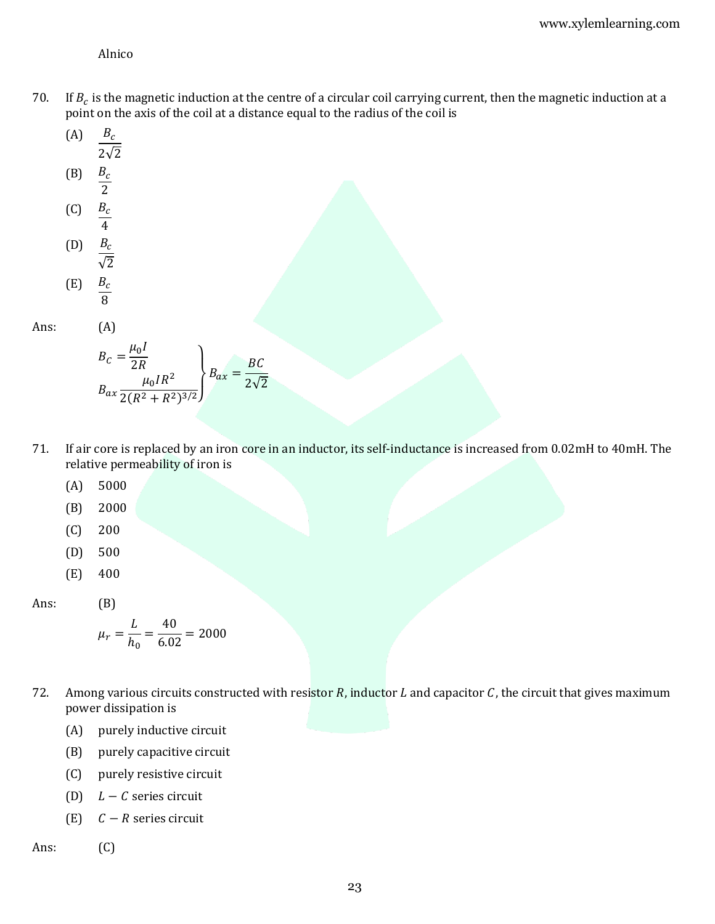Alnico

- 70. If  $B_c$  is the magnetic induction at the centre of a circular coil carrying current, then the magnetic induction at a point on the axis of the coil at a distance equal to the radius of the coil is
	- $(A)$   $B_c$  $\frac{1}{2\sqrt{2}}$
	- (B)  $\frac{B_c}{2}$
	- (C)  $\frac{B_c}{4}$
	- (D)  $rac{B_c}{\sqrt{2}}$
	- $(E)$   $B_c$  $\overline{8}$

Ans: (A)

$$
B_C = \frac{\mu_0 I}{2R}
$$
  

$$
B_{ax} \frac{\mu_0 I R^2}{2(R^2 + R^2)^{3/2}} \bigg\} B_{ax} = \frac{BC}{2\sqrt{2}}
$$

- 71. If air core is replaced by an iron core in an inductor, its self-inductance is increased from 0.02mH to 40mH. The relative permeability of iron is
	- (A) 5000
	- (B) 2000
	- (C) 200
	- (D) 500
	- (E) 400

Ans: (B)

$$
\mu_r = \frac{L}{h_0} = \frac{40}{6.02} = 2000
$$

- 72. Among various circuits constructed with resistor  $R$ , inductor  $L$  and capacitor  $C$ , the circuit that gives maximum power dissipation is
	- (A) purely inductive circuit
	- (B) purely capacitive circuit
	- (C) purely resistive circuit
	- (D)  $L C$  series circuit
	- (E)  $C R$  series circuit

Ans: (C)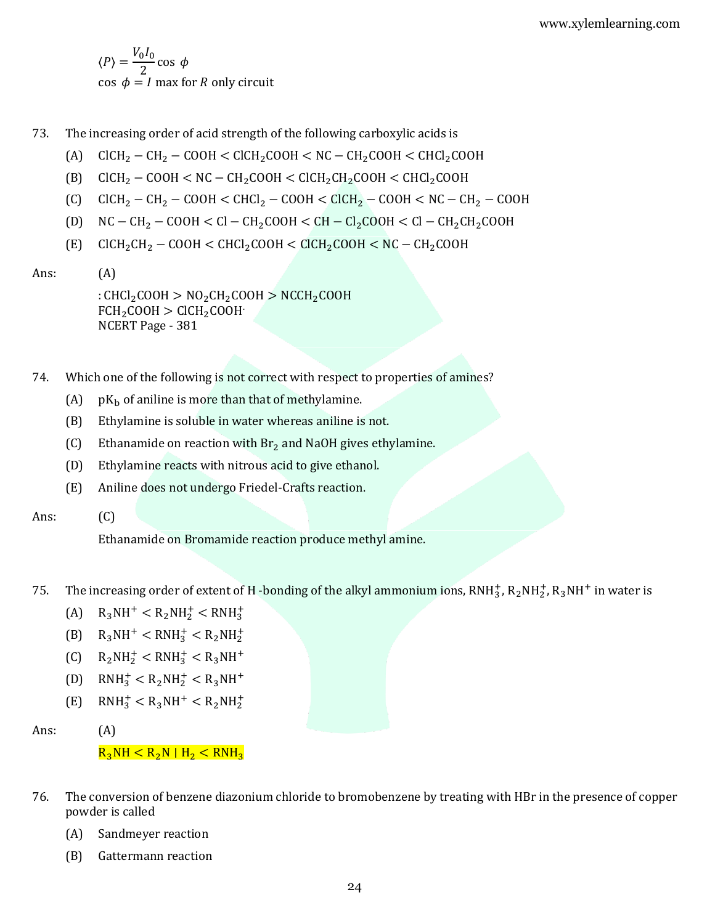$\langle P \rangle = \frac{V_0 I_0}{2}$  $\frac{1}{2}$ cos  $\phi$  $\cos \phi = I$  max for R only circuit

- 73. The increasing order of acid strength of the following carboxylic acids is
	- (A)  $CICH_2 CH_2 COOH < CICH_2COOH < NC CH_2COOH < CHCl_2COOH$
	- (B)  $CICH_2 COOH < NC CH_2COOH < CICH_2CH_2COOH < CHCl_2COOH$
	- (C)  $CICH_2 CH_2 COOH < CHCl_2 COOH < CICH_2 COOH < NC CH_2 COOH$
	- (D)  $NC CH_2 COOH < Cl CH_2COOH < CH CL_2COOH < Cl CH_2CH_2COOH$
	- $(E)$  ClCH<sub>2</sub>CH<sub>2</sub> COOH < CHCl<sub>2</sub>COOH < ClCH<sub>2</sub>COOH < NC CH<sub>2</sub>COOH
- Ans: (A)

: CHCl<sub>2</sub>COOH >  $NO_2CH_2COOH$  >  $NCCH_2COOH$  $FCH<sub>2</sub>COOH > CICH<sub>2</sub>COOH$ NCERT Page - 381

- 74. Which one of the following is not correct with respect to properties of amines?
	- (A)  $pK_b$  of aniline is more than that of methylamine.
	- (B) Ethylamine is soluble in water whereas aniline is not.
	- (C) Ethanamide on reaction with  $Br<sub>2</sub>$  and NaOH gives ethylamine.
	- (D) Ethylamine reacts with nitrous acid to give ethanol.
	- (E) Aniline does not undergo Friedel-Crafts reaction.
- Ans: (C)

Ethanamide on Bromamide reaction produce methyl amine.

- 75. The increasing order of extent of H -bonding of the alkyl ammonium ions,  $\text{RNH}_3^+$ ,  $\text{R}_2\text{NH}_2^+$ ,  $\text{R}_3\text{NH}^+$  in water is
	- (A)  $R_3NH^+ < R_2NH_2^+ < RNH_3^+$
	- (B)  $R_3NH^+ < RNH_3^+ < R_2NH_2^+$
	- (C)  $R_2NH_2^+ < RNH_3^+ < R_3NH^+$
	- (D)  $RMH_3^+ < R_2NH_2^+ < R_3NH^+$
	- (E)  $RMH_3^+ < R_3NH^+ < R_2NH_2^+$
- Ans: (A)

# $R_3NH < R_2N/H_2 < RNH_3$

- 76. The conversion of benzene diazonium chloride to bromobenzene by treating with HBr in the presence of copper powder is called
	- (A) Sandmeyer reaction
	- (B) Gattermann reaction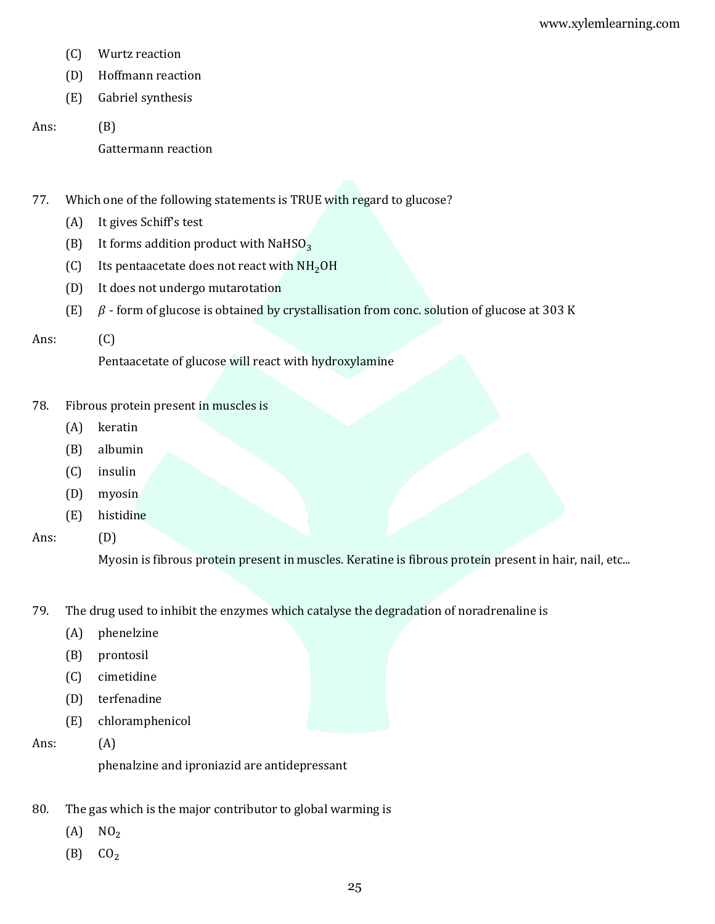- (C) Wurtz reaction
- (D) Hoffmann reaction
- (E) Gabriel synthesis
- Ans: (B)

Gattermann reaction

77. Which one of the following statements is TRUE with regard to glucose?

- (A) It gives Schiff's test
- (B) It forms addition product with NaHSO<sub>3</sub>
- (C) Its pentaacetate does not react with  $NH<sub>2</sub>OH$
- (D) It does not undergo mutarotation
- (E)  $\beta$  form of glucose is obtained by crystallisation from conc. solution of glucose at 303 K

### Ans: (C)

Pentaacetate of glucose will react with hydroxylamine

- 78. Fibrous protein present in muscles is
	- (A) keratin
	- (B) albumin
	- (C) insulin
	- (D) myosin
	- (E) histidine

Ans: (D)

Myosin is fibrous protein present in muscles. Keratine is fibrous protein present in hair, nail, etc...

- 79. The drug used to inhibit the enzymes which catalyse the degradation of noradrenaline is
	- (A) phenelzine
	- (B) prontosil
	- (C) cimetidine
	- (D) terfenadine
	- (E) chloramphenicol
- Ans: (A)

phenalzine and iproniazid are antidepressant

- 80. The gas which is the major contributor to global warming is
	- $(A)$  NO<sub>2</sub>
	- $(B)$   $CO<sub>2</sub>$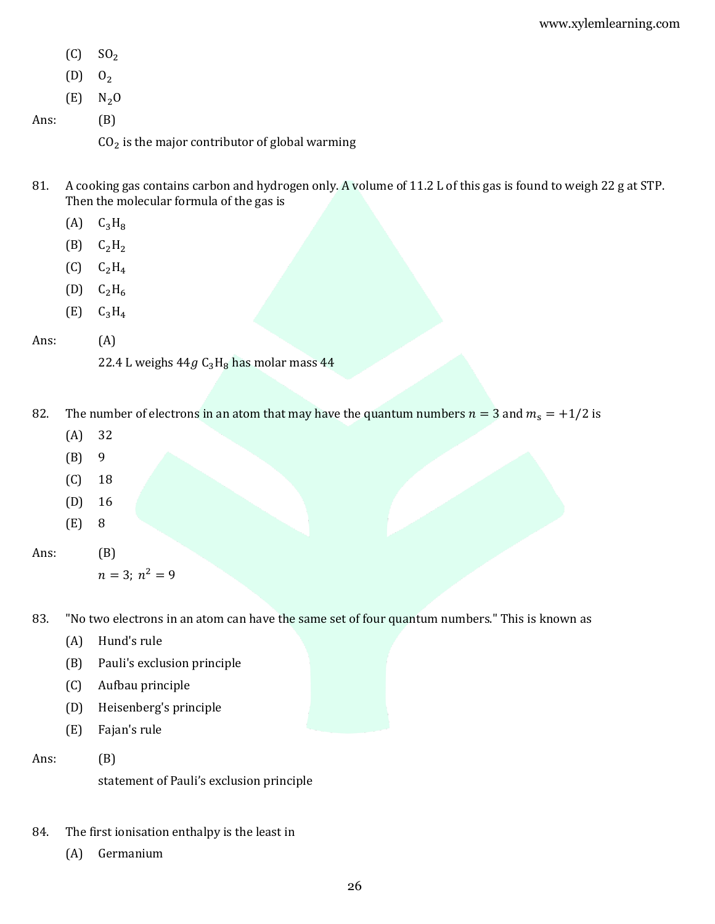$(C)$  SO<sub>2</sub>

 $(D)$   $0_2$ 

- $(E)$  N<sub>2</sub>O
- Ans: (B)

 $CO<sub>2</sub>$  is the major contributor of global warming

- 81. A cooking gas contains carbon and hydrogen only. A volume of 11.2 L of this gas is found to weigh 22 g at STP. Then the molecular formula of the gas is
	- $(A)$   $C_3H_8$
	- $(B)$   $C_2H_2$
	- $(C)$   $C_2H_4$
	- $(D)$   $C_2H_6$
	- $(E)$   $C_3H_4$

## Ans: (A)

22.4 L weighs  $44g$   $C_3H_8$  has molar mass  $44$ 

- 82. The number of electrons in an atom that may have the quantum numbers  $n = 3$  and  $m_s = +1/2$  is
	- (A) 32
	- (B) 9
	- (C) 18
	- (D) 16
	- (E) 8

Ans: (B)

```
n = 3; n^2 = 9
```
83. "No two electrons in an atom can have the same set of four quantum numbers." This is known as

- (A) Hund's rule
- (B) Pauli's exclusion principle
- (C) Aufbau principle
- (D) Heisenberg's principle
- (E) Fajan's rule

Ans: (B)

statement of Pauli's exclusion principle

- 84. The first ionisation enthalpy is the least in
	- (A) Germanium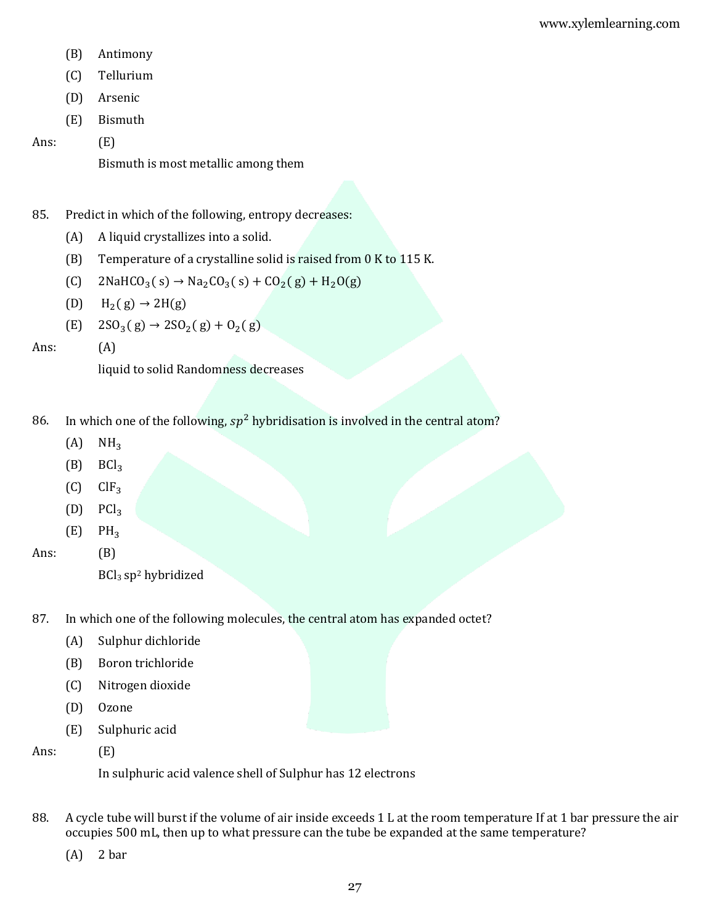- (B) Antimony
- (C) Tellurium
- (D) Arsenic
- (E) Bismuth

Ans: (E)

Bismuth is most metallic among them

# 85. Predict in which of the following, entropy decreases:

- (A) A liquid crystallizes into a solid.
- (B) Temperature of a crystalline solid is raised from 0 K to 115 K.
- (C)  $2NAHCO<sub>3</sub>(s) \rightarrow Na<sub>2</sub>CO<sub>3</sub>(s) + CO<sub>2</sub>(g) + H<sub>2</sub>O(g)$
- (D)  $H_2(g) \rightarrow 2H(g)$
- (E)  $2SO_3(g) \rightarrow 2SO_2(g) + O_2(g)$

Ans: (A)

liquid to solid Randomness decreases

- 86. In which one of the following,  $sp^2$  hybridisation is involved in the central atom?
	- $(A)$  NH<sub>3</sub>
	- $(B)$  BCl<sub>3</sub>
	- $(C)$   $ClF_3$
	- $(D)$  PCl<sub>3</sub>
	- $(E)$  PH<sub>3</sub>

Ans: (B)

- 87. In which one of the following molecules, the central atom has expanded octet?
	- (A) Sulphur dichloride
	- (B) Boron trichloride
	- (C) Nitrogen dioxide
	- (D) Ozone
	- (E) Sulphuric acid

Ans: (E)

In sulphuric acid valence shell of Sulphur has 12 electrons

- 88. A cycle tube will burst if the volume of air inside exceeds 1 L at the room temperature If at 1 bar pressure the air occupies 500 mL, then up to what pressure can the tube be expanded at the same temperature?
	- (A) 2 bar

BCl<sup>3</sup> sp<sup>2</sup> hybridized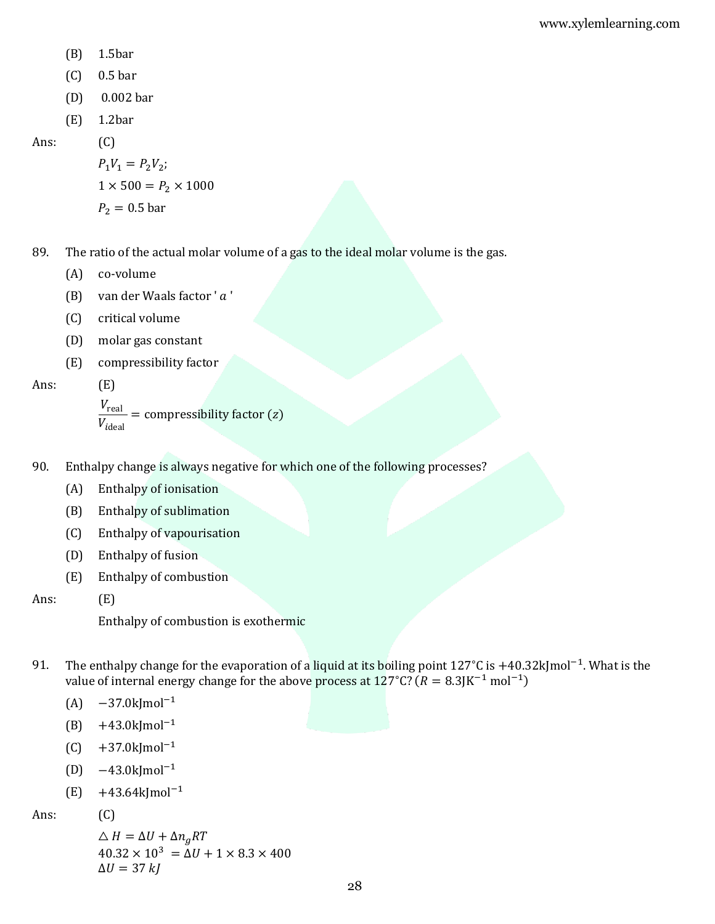- (B) 1.5bar
- (C) 0.5 bar
- (D) 0.002 bar
- (E) 1.2bar

Ans: (C)

 $P_1 V_1 = P_2 V_2;$  $1 \times 500 = P_2 \times 1000$  $P_2 = 0.5$  bar

89. The ratio of the actual molar volume of a gas to the ideal molar volume is the gas.

- (A) co-volume
- (B) van der Waals factor ' $a'$
- (C) critical volume
- (D) molar gas constant
- (E) compressibility factor

Ans: (E)

$$
\frac{V_{\text{real}}}{V_{\text{ideal}}} = \text{compressibility factor (z)}
$$

- 90. Enthalpy change is always negative for which one of the following processes?
	- (A) Enthalpy of ionisation
	- (B) Enthalpy of sublimation
	- (C) Enthalpy of vapourisation
	- (D) Enthalpy of fusion
	- (E) Enthalpy of combustion

Ans: (E)

Enthalpy of combustion is exothermic

- 91. The enthalpy change for the evaporation of a liquid at its boiling point 127°C is +40.32kJmol<sup>-1</sup>. What is the value of internal energy change for the above process at 127°C? ( $R = 8.3$ JK<sup>-1</sup> mol<sup>-1</sup>)
	- $(A)$  −37.0kJmol<sup>-1</sup>
	- (B) +43.0kJmol−1
	- $(C)$  +37.0kJmol<sup>-1</sup>
	- (D)  $-43.0$ kJmol<sup>-1</sup>
	- (E) +43.64kJmol−1

Ans: (C)

$$
\Delta H = \Delta U + \Delta n_g RT
$$
  
40.32 × 10<sup>3</sup> =  $\Delta U$  + 1 × 8.3 × 400  
 $\Delta U$  = 37 kJ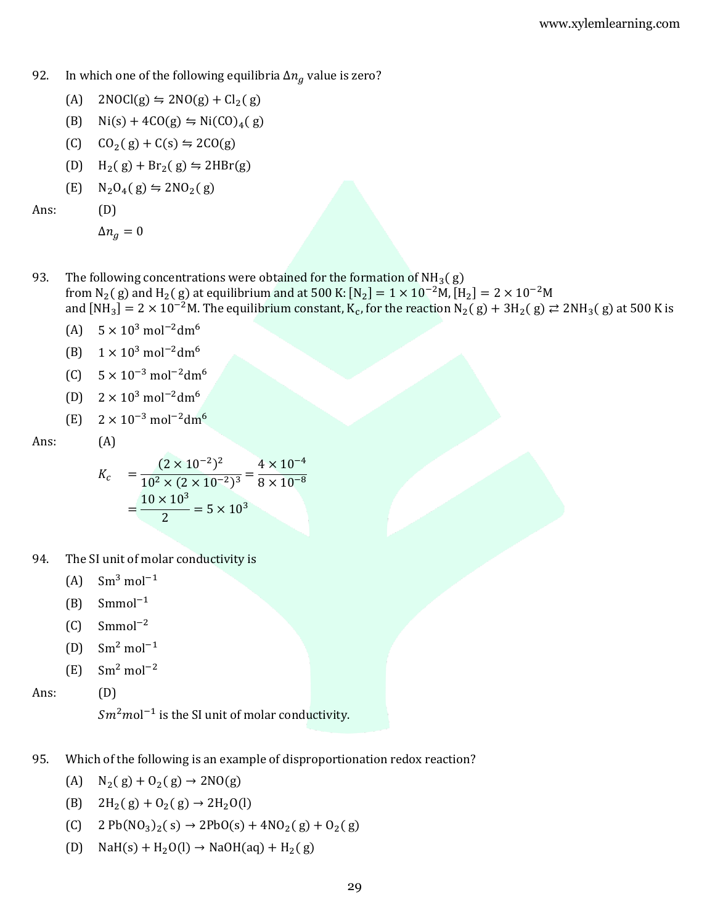- 92. In which one of the following equilibria  $\Delta n_q$  value is zero?
	- (A)  $2NOCl(g) \leftrightharpoons 2NO(g) + Cl_2(g)$
	- (B)  $\text{Ni}(s) + 4\text{CO}(g) \leftrightharpoons \text{Ni}(CO)_4(g)$
	- $(C)$   $CO_2(g) + C(s) \leq 2CO(g)$
	- (D)  $H_2(g) + Br_2(g) \leftrightharpoons 2HBr(g)$

$$
(E) \quad N_2O_4(g) \leftrightharpoons 2NO_2(g)
$$

Ans: (D)

$$
\Delta n_g = 0
$$

93. The following concentrations were obtained for the formation of  $NH<sub>3</sub>(g)$ 

from N<sub>2</sub>(g) and H<sub>2</sub>(g) at equilibrium and at 500 K: [N<sub>2</sub>] = 1 × 10<sup>-2</sup>M, [H<sub>2</sub>] = 2 × 10<sup>-2</sup>M

and  $[MH_3]=2\times10^{-2}$ M. The equilibrium constant, K<sub>c</sub>, for the reaction  $N_2(g)+3H_2(g)\rightleftarrows2NH_3(g)$  at 500 K is

- (A)  $5 \times 10^3$  mol<sup>-2</sup>dm<sup>6</sup>
- (B)  $1 \times 10^3$  mol<sup>-2</sup>dm<sup>6</sup>
- (C)  $5 \times 10^{-3}$  mol<sup>-2</sup>dm<sup>6</sup>
- (D)  $2 \times 10^3$  mol<sup>-2</sup>dm<sup>6</sup>
- (E)  $2 \times 10^{-3}$  mol<sup>-2</sup>dm<sup>6</sup>

Ans: (A)

$$
K_c = \frac{(2 \times 10^{-2})^2}{10^2 \times (2 \times 10^{-2})^3} = \frac{4 \times 10^{-4}}{8 \times 10^{-8}}
$$

$$
= \frac{10 \times 10^3}{2} = 5 \times 10^3
$$

- 94. The SI unit of molar conductivity is
	- $(A)$  Sm<sup>3</sup> mol<sup>-1</sup>
	- $(B)$  Smmol<sup>-1</sup>
	- $(C)$  Smmol<sup>-2</sup>
	- $(D)$  Sm<sup>2</sup> mol<sup>-1</sup>
	- $(E)$  Sm<sup>2</sup> mol<sup>-2</sup>

Ans: (D)

 ${\it Sm}^2 {\it mol}^{-1}$  is the SI unit of molar conductivity.

- 95. Which of the following is an example of disproportionation redox reaction?
	- (A)  $N_2(g) + O_2(g) \rightarrow 2NO(g)$
	- (B)  $2H_2(g) + O_2(g) \rightarrow 2H_2O(l)$
	- (C)  $2 Pb(NO_3)_2(s) \rightarrow 2 PbO(s) + 4 NO_2(g) + O_2(g)$
	- (D) NaH(s) + H<sub>2</sub>O(l)  $\rightarrow$  NaOH(aq) + H<sub>2</sub>(g)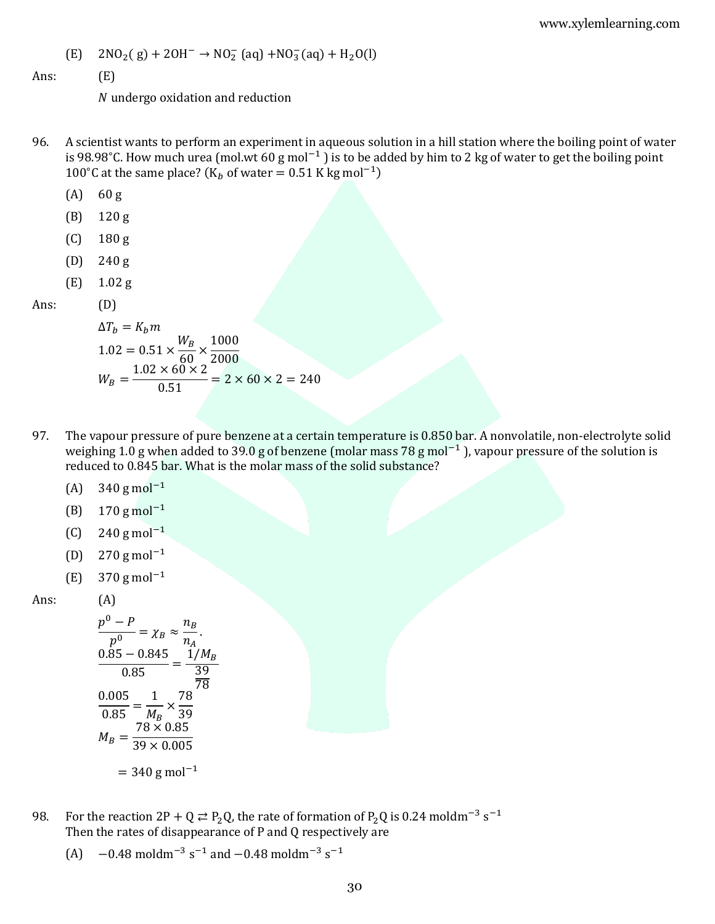(E) 
$$
2NO_2(g) + 2OH^- \rightarrow NO_2^- (aq) + NO_3^- (aq) + H_2O(l)
$$

Ans: (E)

undergo oxidation and reduction

- 96. A scientist wants to perform an experiment in aqueous solution in a hill station where the boiling point of water is 98.98°C. How much urea (mol.wt 60 g mol<sup>-1</sup>) is to be added by him to 2 kg of water to get the boiling point 100°C at the same place? ( $K_b$  of water = 0.51 K kg mol<sup>-1</sup>)
	- (A) 60 g
	- (B) 120 g
	- (C) 180 g
	- (D) 240 g
	- (E) 1.02 g

Ans: (D)

$$
\Delta T_b = K_b m
$$
  
1.02 = 0.51 ×  $\frac{W_B}{60}$  ×  $\frac{1000}{2000}$   

$$
W_B = \frac{1.02 \times 60 \times 2}{0.51} = 2 \times 60 \times 2 = 240
$$

- 97. The vapour pressure of pure benzene at a certain temperature is 0.850 bar. A nonvolatile, non-electrolyte solid weighing 1.0 g when added to 39.0 g of benzene (molar mass 78 g mol<sup>-1</sup>), vapour pressure of the solution is reduced to 0.845 bar. What is the molar mass of the solid substance?
	- (A)  $340 \text{ g mol}^{-1}$
	- (B) 170 g mol−1
	- (C) 240 g mol<sup>-1</sup>
	- (D) 270 g mol−1
	- (E) 370 g mol−1

Ans: (A)

$$
\frac{p^{0} - P}{p^{0}} = \chi_{B} \approx \frac{n_{B}}{n_{A}}.
$$
  

$$
\frac{0.85 - 0.845}{0.85} = \frac{1/M_{B}}{\frac{39}{78}}
$$
  

$$
\frac{0.005}{0.85} = \frac{1}{M_{B}} \times \frac{78}{39}
$$
  

$$
M_{B} = \frac{78 \times 0.85}{39 \times 0.005}
$$
  
= 340 g mol<sup>-1</sup>

- 98. For the reaction 2P + Q  $\rightleftarrows$  P<sub>2</sub>Q, the rate of formation of P<sub>2</sub>Q is 0.24 moldm<sup>-3</sup> s<sup>-1</sup> Then the rates of disappearance of P and Q respectively are
	- (A)  $-0.48 \text{ moldm}^{-3} \text{ s}^{-1}$  and  $-0.48 \text{ moldm}^{-3} \text{ s}^{-1}$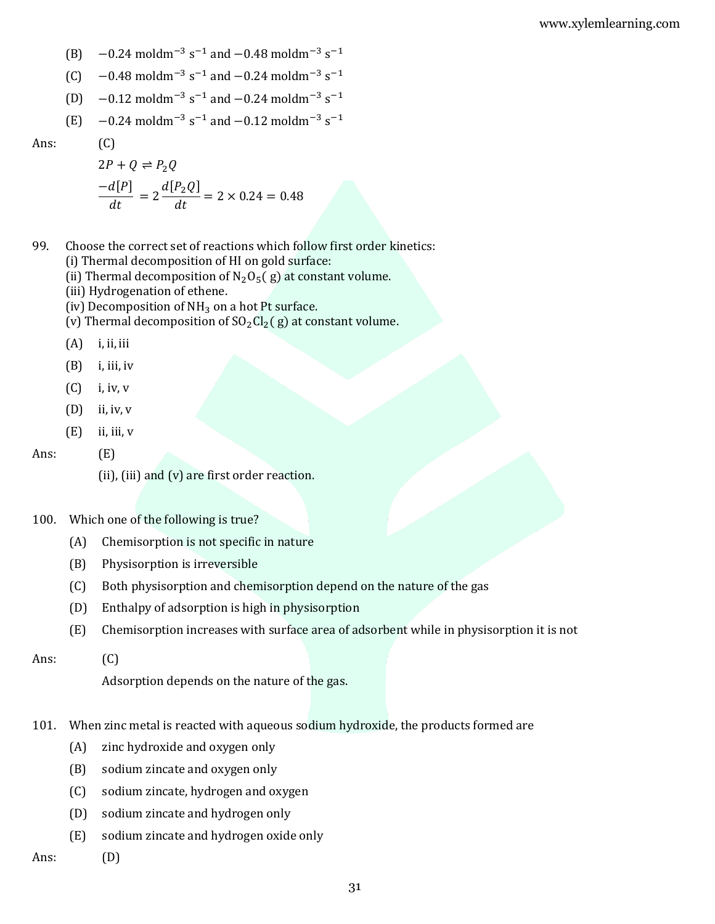- (B)  $-0.24 \text{ moldm}^{-3} \text{ s}^{-1}$  and  $-0.48 \text{ moldm}^{-3} \text{ s}^{-1}$
- (C)  $-0.48 \text{ moldm}^{-3} \text{ s}^{-1}$  and  $-0.24 \text{ moldm}^{-3} \text{ s}^{-1}$
- (D)  $-0.12 \text{ moldm}^{-3} \text{ s}^{-1}$  and  $-0.24 \text{ moldm}^{-3} \text{ s}^{-1}$
- (E)  $-0.24 \text{ moldm}^{-3} \text{ s}^{-1}$  and  $-0.12 \text{ moldm}^{-3} \text{ s}^{-1}$

$$
2P + Q \rightleftharpoons P_2 Q
$$
  
\n
$$
\frac{-d[P]}{dt} = 2 \frac{d[P_2 Q]}{dt} = 2 \times 0.24 = 0.48
$$

- 99. Choose the correct set of reactions which follow first order kinetics:
	- (i) Thermal decomposition of HI on gold surface:
	- (ii) Thermal decomposition of  $N_2O_5(g)$  at constant volume.
	- (iii) Hydrogenation of ethene.
	- (iv) Decomposition of  $NH<sub>3</sub>$  on a hot Pt surface.
	- (v) Thermal decomposition of  $SO_2Cl_2(g)$  at constant volume.
	- $(A)$  i, ii, iii

 $(C)$ 

- $(B)$  i, iii, iv
- $(C)$  i, iv, v
- (D) ii, iv, v
- $(E)$  ii, iii, v

Ans: (E)

- (ii), (iii) and (v) are first order reaction.
- 100. Which one of the following is true?
	- (A) Chemisorption is not specific in nature
	- (B) Physisorption is irreversible
	- (C) Both physisorption and chemisorption depend on the nature of the gas
	- (D) Enthalpy of adsorption is high in physisorption
	- (E) Chemisorption increases with surface area of adsorbent while in physisorption it is not

#### Ans: (C)

Adsorption depends on the nature of the gas.

- 101. When zinc metal is reacted with aqueous sodium hydroxide, the products formed are
	- (A) zinc hydroxide and oxygen only
	- (B) sodium zincate and oxygen only
	- (C) sodium zincate, hydrogen and oxygen
	- (D) sodium zincate and hydrogen only
	- (E) sodium zincate and hydrogen oxide only
- Ans: (D)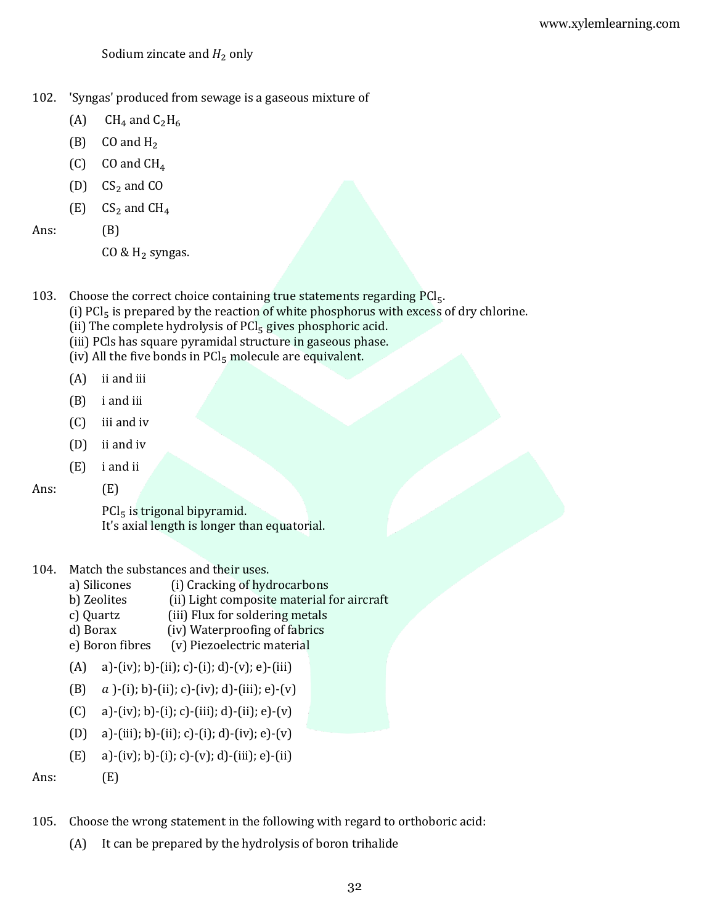Sodium zincate and  $H_2$  only

- 102. 'Syngas' produced from sewage is a gaseous mixture of
	- (A)  $CH_4$  and  $C_2H_6$
	- $(B)$  CO and H<sub>2</sub>
	- $(C)$  CO and CH<sub>4</sub>
	- $(D)$  CS<sub>2</sub> and CO
	- $(E)$  CS<sub>2</sub> and CH<sub>4</sub>
- Ans: (B)
	- CO &  $H_2$  syngas.
- 103. Choose the correct choice containing true statements regarding PCl<sub>5</sub>.
	- (i)  $PCl<sub>5</sub>$  is prepared by the reaction of white phosphorus with excess of dry chlorine.
	- (ii) The complete hydrolysis of  $PCl<sub>5</sub>$  gives phosphoric acid.
	- (iii) PCls has square pyramidal structure in gaseous phase.
	- (iv) All the five bonds in  $PCl<sub>5</sub>$  molecule are equivalent.
	- (A) ii and iii
	- (B) i and iii
	- (C) iii and iv
	- (D) ii and iv
	- (E) i and ii
- Ans: (E)

 $PCl<sub>5</sub>$  is trigonal bipyramid. It's axial length is longer than equatorial.

## 104. Match the substances and their uses.

- a) Silicones (i) Cracking of hydrocarbons
- b) Zeolites (ii) Light composite material for aircraft
- c) Quartz (iii) Flux for soldering metals
- d) Borax (iv) Waterproofing of fabrics
- e) Boron fibres (v) Piezoelectric material
- (A) a)-(iv); b)-(ii); c)-(i); d)-(v); e)-(iii)
- (B)  $a$  )-(i); b)-(ii); c)-(iv); d)-(iii); e)-(v)
- (C) a)-(iv); b)-(i); c)-(iii); d)-(ii); e)-(v)
- (D) a)-(iii); b)-(ii); c)-(i); d)-(iv); e)-(v)
- (E) a)-(iv); b)-(i); c)-(v); d)-(iii); e)-(ii)

Ans: (E)

- 105. Choose the wrong statement in the following with regard to orthoboric acid:
	- (A) It can be prepared by the hydrolysis of boron trihalide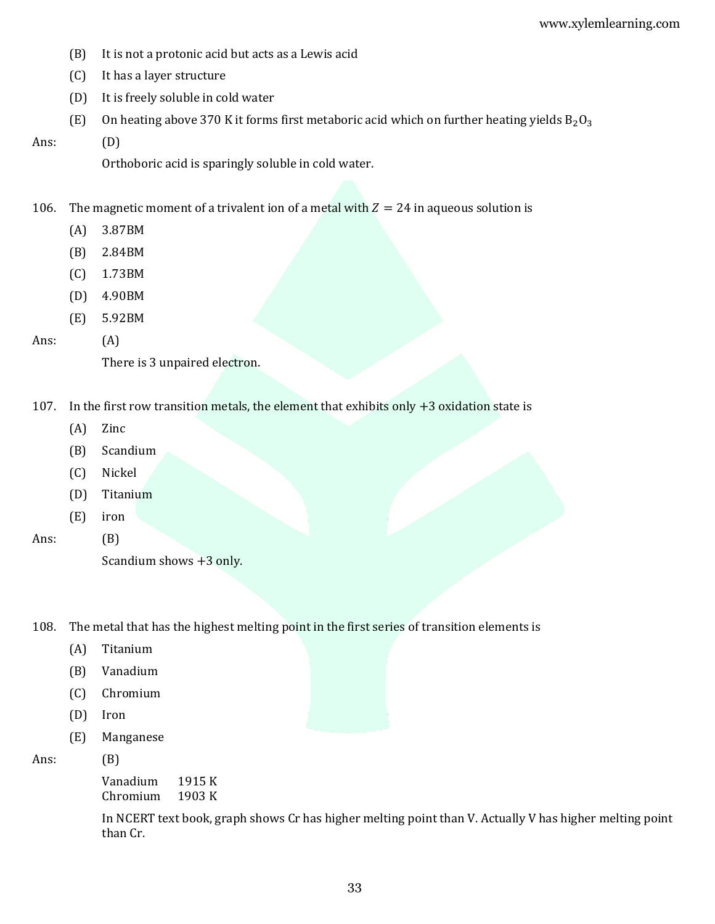- (B) It is not a protonic acid but acts as a Lewis acid
- (C) It has a layer structure
- (D) It is freely soluble in cold water
- (E) On heating above 370 K it forms first metaboric acid which on further heating yields  $B_2O_3$
- Ans: (D)

Orthoboric acid is sparingly soluble in cold water.

106. The magnetic moment of a trivalent ion of a metal with  $Z = 24$  in aqueous solution is

- (A) 3.87BM
- (B) 2.84BM
- (C) 1.73BM
- (D) 4.90BM
- (E) 5.92BM

## Ans: (A)

There is 3 unpaired electron.

- 107. In the first row transition metals, the element that exhibits only +3 oxidation state is
	- (A) Zinc
	- (B) Scandium
	- (C) Nickel
	- (D) Titanium
	- (E) iron

Ans: (B)

108. The metal that has the highest melting point in the first series of transition elements is

- (A) Titanium
- (B) Vanadium
- (C) Chromium
- (D) Iron
- (E) Manganese

Ans: (B)

Vanadium 1915 K Chromium 1903 K

In NCERT text book, graph shows Cr has higher melting point than V. Actually V has higher melting point than Cr.

Scandium shows +3 only.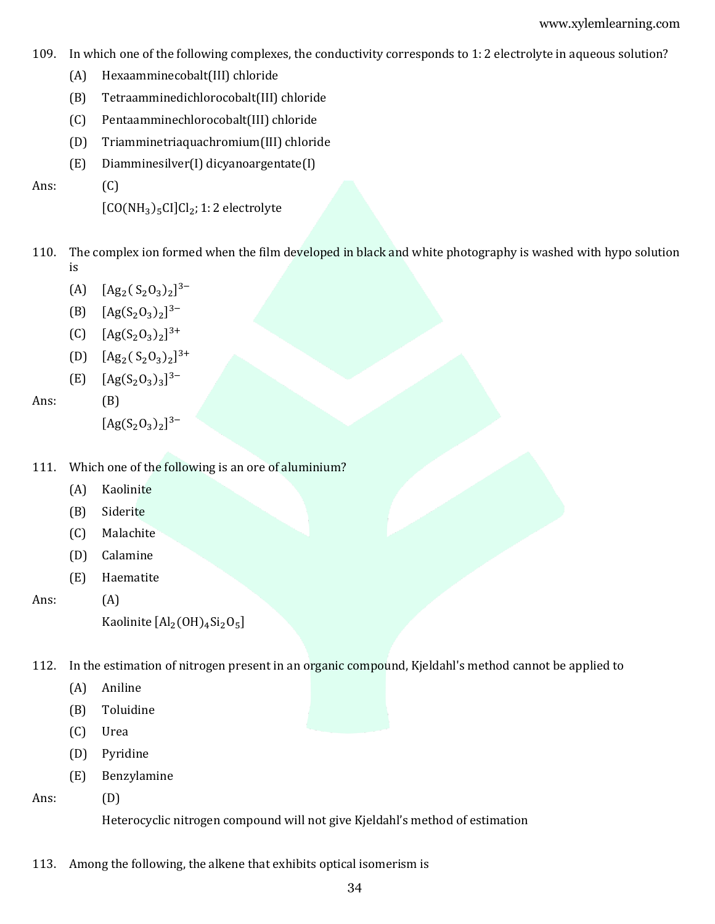- 109. In which one of the following complexes, the conductivity corresponds to 1: 2 electrolyte in aqueous solution?
	- (A) Hexaamminecobalt(III) chloride
	- (B) Tetraamminedichlorocobalt(III) chloride
	- (C) Pentaamminechlorocobalt(III) chloride
	- (D) Triamminetriaquachromium(III) chloride
	- (E) Diamminesilver(I) dicyanoargentate(I)

Ans: (C)

```
[CO(NH<sub>3</sub>)<sub>5</sub>CI]Cl<sub>2</sub>; 1: 2 electrolyte
```
- 110. The complex ion formed when the film developed in black and white photography is washed with hypo solution is
	- (A)  $[Ag_2(S_2O_3)_2]^{3-}$
	- (B)  $[Ag(S_2O_3)_2]^{3-}$
	- (C)  $[Ag(S_2O_3)_2]^{3+}$
	- (D)  $[Ag_2(S_2O_3)_2]^{3+}$
	- $[E]$  [Ag(S<sub>2</sub>O<sub>3</sub>)<sub>3</sub>]<sup>3-</sup>

Ans: (B)

 $[Ag(S_2O_3)_2]^{3-}$ 

- 111. Which one of the following is an ore of aluminium?
	- (A) Kaolinite
	- (B) Siderite
	- (C) Malachite
	- (D) Calamine
	- (E) Haematite

Ans: (A)

Kaolinite  $\text{[Al}_2(\text{OH})_4\text{Si}_2\text{O}_5\text{]}$ 

- 112. In the estimation of nitrogen present in an organic compound, Kjeldahl's method cannot be applied to
	- (A) Aniline
	- (B) Toluidine
	- (C) Urea
	- (D) Pyridine
	- (E) Benzylamine

Ans: (D)

Heterocyclic nitrogen compound will not give Kjeldahl's method of estimation

113. Among the following, the alkene that exhibits optical isomerism is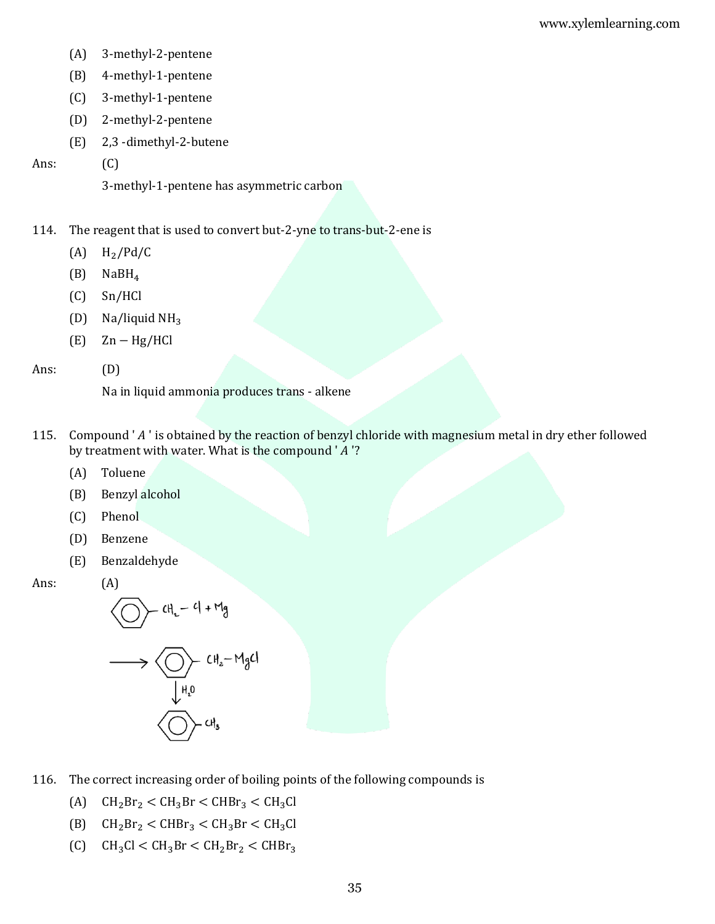- (A) 3-methyl-2-pentene
- (B) 4-methyl-1-pentene
- (C) 3-methyl-1-pentene
- (D) 2-methyl-2-pentene
- (E) 2,3 -dimethyl-2-butene

## Ans: (C)

3-methyl-1-pentene has asymmetric carbon

- 114. The reagent that is used to convert but-2-yne to trans-but-2-ene is
	- $(A)$  H<sub>2</sub>/Pd/C
	- (B) NaBH<sup>4</sup>
	- (C) Sn/HCl
	- (D) Na/liquid  $NH<sub>3</sub>$
	- (E) Zn − Hg/HCl

# Ans: (D)

Na in liquid ammonia produces trans - alkene

- 115. Compound 'A' is obtained by the reaction of benzyl chloride with magnesium metal in dry ether followed by treatment with water. What is the compound ' $A$ '?
	- (A) Toluene
	- (B) Benzyl alcohol
	- (C) Phenol
	- (D) Benzene
	- (E) Benzaldehyde

#### Ans: (A)

$$
\left\langle \bigcirc \right\rangle = cH_{L} - cI + Mg
$$

$$
\longrightarrow \bigotimes_{\mu_{1,0}} CH_{2}-M_{3}Cl
$$

- 116. The correct increasing order of boiling points of the following compounds is
	- (A)  $CH_2Br_2 < CH_3Br < CHBr_3 < CH_3Cl$
	- (B)  $CH_2Br_2 < CHBr_3 < CH_3Br < CH_3Cl$
	- $\text{(C)}$   $\text{CH}_3\text{Cl} < \text{CH}_3\text{Br} < \text{CH}_2\text{Br}_2 < \text{CHBr}_3$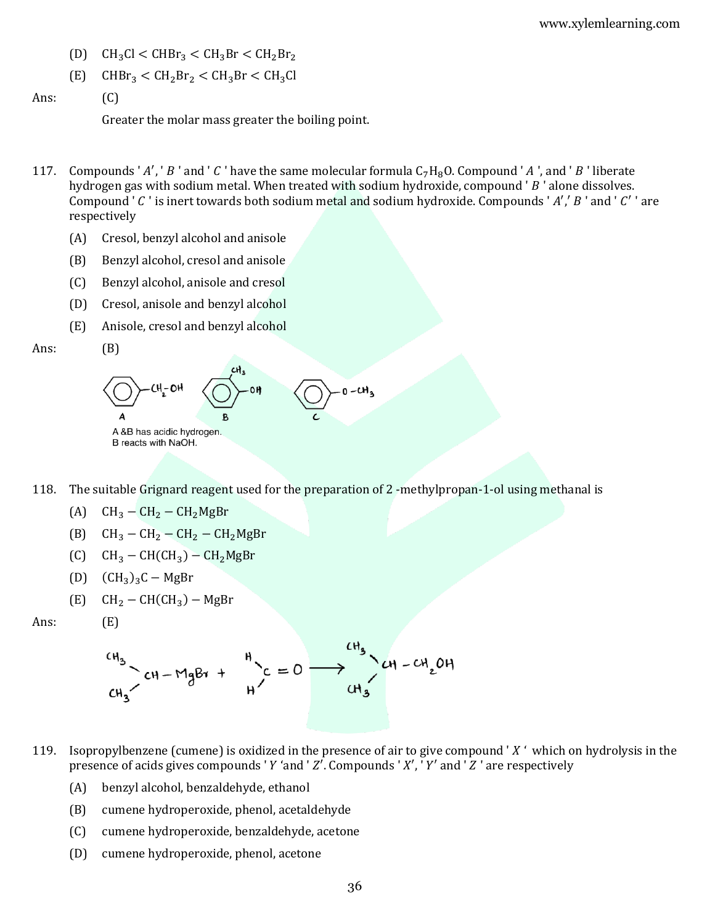- (D)  $CH_3Cl < CHBr_3 < CH_3Br < CH_2Br_2$
- $(E)$  CHBr<sub>3</sub> < CH<sub>2</sub>Br<sub>2</sub> < CH<sub>3</sub>Br < CH<sub>3</sub>Cl

```
Ans: (C)
```
Greater the molar mass greater the boiling point.

- 117. Compounds 'A', 'B' and 'C' have the same molecular formula  $C_7H_8O$ . Compound 'A', and 'B' liberate hydrogen gas with sodium metal. When treated with sodium hydroxide, compound ' $B$ ' alone dissolves. Compound '  $C$  ' is inert towards both sodium metal and sodium hydroxide. Compounds '  $A'$ ,'  $B$  ' and '  $C'$  ' are respectively
	- (A) Cresol, benzyl alcohol and anisole
	- (B) Benzyl alcohol, cresol and anisole
	- (C) Benzyl alcohol, anisole and cresol
	- (D) Cresol, anisole and benzyl alcohol
	- (E) Anisole, cresol and benzyl alcohol

```
Ans: (B)
```


118. The suitable Grignard reagent used for the preparation of 2 -methylpropan-1-ol using methanal is

- (A)  $CH_3 CH_2 CH_2MgBr$
- (B)  $CH_3 CH_2 CH_2 CH_2MgBr$
- $\text{CH}_3-\text{CH}(\text{CH}_3)-\text{CH}_2\text{MgBr}$
- (D)  $(CH_3)_3C MgBr$

 $(E)$ 

 $(E)$  CH<sub>2</sub> – CH(CH<sub>3</sub>) – MgBr

$$
CH_3
$$
  
\n $CH_3$   
\n $CH_3$   
\n $CH_3$   
\n $CH_3$   
\n $CH_3$   
\n $CH_3$   
\n $CH_3$   
\n $CH_3$   
\n $CH_3$   
\n $CH_2OH$ 

- 119. Isopropylbenzene (cumene) is oxidized in the presence of air to give compound ' $X'$  which on hydrolysis in the presence of acids gives compounds 'Y 'and 'Z'. Compounds 'X', 'Y' and 'Z' are respectively
	- (A) benzyl alcohol, benzaldehyde, ethanol
	- (B) cumene hydroperoxide, phenol, acetaldehyde
	- (C) cumene hydroperoxide, benzaldehyde, acetone
	- (D) cumene hydroperoxide, phenol, acetone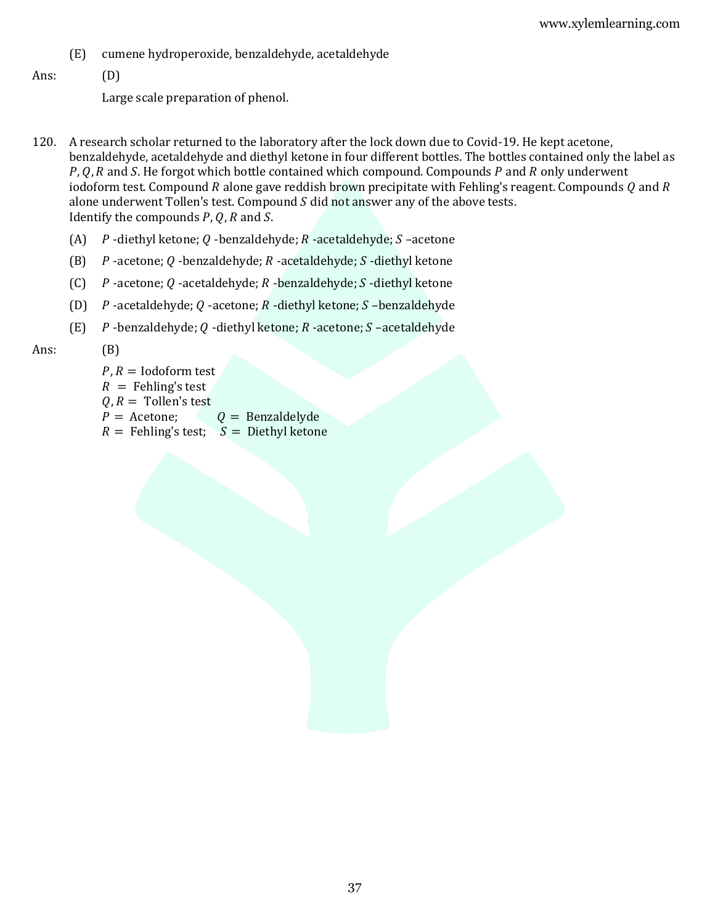(E) cumene hydroperoxide, benzaldehyde, acetaldehyde

#### Ans: (D)

Large scale preparation of phenol.

- 120. A research scholar returned to the laboratory after the lock down due to Covid-19. He kept acetone, benzaldehyde, acetaldehyde and diethyl ketone in four different bottles. The bottles contained only the label as  $P, Q, R$  and S. He forgot which bottle contained which compound. Compounds  $P$  and  $R$  only underwent iodoform test. Compound R alone gave reddish brown precipitate with Fehling's reagent. Compounds Q and R alone underwent Tollen's test. Compound  $S$  did not answer any of the above tests. Identify the compounds  $P$ ,  $Q$ ,  $R$  and  $S$ .
	- (A)  $P$ -diethyl ketone;  $Q$ -benzaldehyde;  $R$ -acetaldehyde;  $S$ -acetone
	- (B)  $P$ -acetone; Q -benzaldehyde;  $R$  -acetaldehyde;  $S$  -diethyl ketone
	- (C)  $P$ -acetone;  $Q$ -acetaldehyde;  $R$ -benzaldehyde;  $S$ -diethyl ketone
	- (D)  $P$ -acetaldehyde;  $Q$ -acetone;  $R$ -diethyl ketone;  $S$ -benzaldehyde
	- (E)  $P$ -benzaldehyde; Q-diethyl ketone;  $R$ -acetone;  $S$ -acetaldehyde

#### Ans: (B)

 $P, R =$ Iodoform test  $R =$  Fehling's test  $Q, R =$  Tollen's test  $P =$  Acetone;  $Q =$  Benzaldelyde  $R =$  Fehling's test;  $S =$  Diethyl ketone